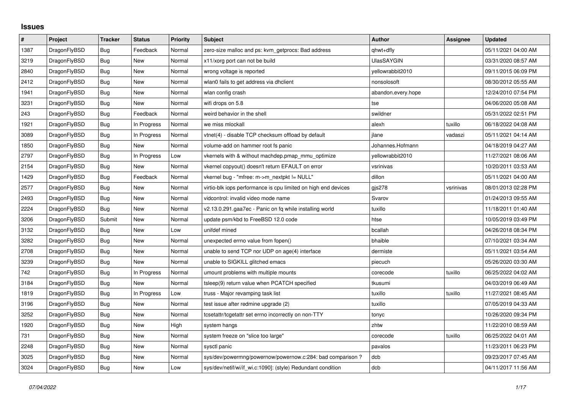## **Issues**

| $\vert$ # | Project      | <b>Tracker</b> | <b>Status</b> | <b>Priority</b> | <b>Subject</b>                                                 | <b>Author</b>      | Assignee  | <b>Updated</b>      |
|-----------|--------------|----------------|---------------|-----------------|----------------------------------------------------------------|--------------------|-----------|---------------------|
| 1387      | DragonFlyBSD | Bug            | Feedback      | Normal          | zero-size malloc and ps: kvm_getprocs: Bad address             | qhwt+dfly          |           | 05/11/2021 04:00 AM |
| 3219      | DragonFlyBSD | <b>Bug</b>     | <b>New</b>    | Normal          | x11/xorg port can not be build                                 | UlasSAYGIN         |           | 03/31/2020 08:57 AM |
| 2840      | DragonFlyBSD | Bug            | New           | Normal          | wrong voltage is reported                                      | vellowrabbit2010   |           | 09/11/2015 06:09 PM |
| 2412      | DragonFlyBSD | <b>Bug</b>     | <b>New</b>    | Normal          | wlan0 fails to get address via dhclient                        | nonsolosoft        |           | 08/30/2012 05:55 AM |
| 1941      | DragonFlyBSD | <b>Bug</b>     | New           | Normal          | wlan config crash                                              | abandon.every.hope |           | 12/24/2010 07:54 PM |
| 3231      | DragonFlyBSD | Bug            | New           | Normal          | wifi drops on 5.8                                              | tse                |           | 04/06/2020 05:08 AM |
| 243       | DragonFlyBSD | <b>Bug</b>     | Feedback      | Normal          | weird behavior in the shell                                    | swildner           |           | 05/31/2022 02:51 PM |
| 1921      | DragonFlyBSD | Bug            | In Progress   | Normal          | we miss mlockall                                               | alexh              | tuxillo   | 06/18/2022 04:08 AM |
| 3089      | DragonFlyBSD | <b>Bug</b>     | In Progress   | Normal          | vtnet(4) - disable TCP checksum offload by default             | ilane              | vadaszi   | 05/11/2021 04:14 AM |
| 1850      | DragonFlyBSD | <b>Bug</b>     | New           | Normal          | volume-add on hammer root fs panic                             | Johannes.Hofmann   |           | 04/18/2019 04:27 AM |
| 2797      | DragonFlyBSD | Bug            | In Progress   | Low             | vkernels with & without machdep.pmap mmu optimize              | yellowrabbit2010   |           | 11/27/2021 08:06 AM |
| 2154      | DragonFlyBSD | <b>Bug</b>     | <b>New</b>    | Normal          | vkernel copyout() doesn't return EFAULT on error               | vsrinivas          |           | 10/20/2011 03:53 AM |
| 1429      | DragonFlyBSD | <b>Bug</b>     | Feedback      | Normal          | vkernel bug - "mfree: m->m nextpkt != NULL"                    | dillon             |           | 05/11/2021 04:00 AM |
| 2577      | DragonFlyBSD | <b>Bug</b>     | New           | Normal          | virtio-blk iops performance is cpu limited on high end devices | gis278             | vsrinivas | 08/01/2013 02:28 PM |
| 2493      | DragonFlyBSD | <b>Bug</b>     | <b>New</b>    | Normal          | vidcontrol: invalid video mode name                            | Svarov             |           | 01/24/2013 09:55 AM |
| 2224      | DragonFlyBSD | <b>Bug</b>     | New           | Normal          | v2.13.0.291.gaa7ec - Panic on fq while installing world        | tuxillo            |           | 11/18/2011 01:40 AM |
| 3206      | DragonFlyBSD | Submit         | New           | Normal          | update psm/kbd to FreeBSD 12.0 code                            | htse               |           | 10/05/2019 03:49 PM |
| 3132      | DragonFlyBSD | <b>Bug</b>     | New           | Low             | unifdef mined                                                  | bcallah            |           | 04/26/2018 08:34 PM |
| 3282      | DragonFlyBSD | Bug            | New           | Normal          | unexpected errno value from fopen()                            | bhaible            |           | 07/10/2021 03:34 AM |
| 2708      | DragonFlyBSD | Bug            | <b>New</b>    | Normal          | unable to send TCP nor UDP on age(4) interface                 | dermiste           |           | 05/11/2021 03:54 AM |
| 3239      | DragonFlyBSD | Bug            | New           | Normal          | unable to SIGKILL glitched emacs                               | piecuch            |           | 05/26/2020 03:30 AM |
| 742       | DragonFlyBSD | Bug            | In Progress   | Normal          | umount problems with multiple mounts                           | corecode           | tuxillo   | 06/25/2022 04:02 AM |
| 3184      | DragonFlyBSD | Bug            | <b>New</b>    | Normal          | tsleep(9) return value when PCATCH specified                   | tkusumi            |           | 04/03/2019 06:49 AM |
| 1819      | DragonFlyBSD | <b>Bug</b>     | In Progress   | Low             | truss - Major revamping task list                              | tuxillo            | tuxillo   | 11/27/2021 08:45 AM |
| 3196      | DragonFlyBSD | <b>Bug</b>     | New           | Normal          | test issue after redmine upgrade (2)                           | tuxillo            |           | 07/05/2019 04:33 AM |
| 3252      | DragonFlyBSD | Bug            | New           | Normal          | tcsetattr/tcgetattr set errno incorrectly on non-TTY           | tonyc              |           | 10/26/2020 09:34 PM |
| 1920      | DragonFlyBSD | <b>Bug</b>     | New           | High            | system hangs                                                   | zhtw               |           | 11/22/2010 08:59 AM |
| 731       | DragonFlyBSD | <b>Bug</b>     | New           | Normal          | system freeze on "slice too large"                             | corecode           | tuxillo   | 06/25/2022 04:01 AM |
| 2248      | DragonFlyBSD | Bug            | New           | Normal          | sysctl panic                                                   | pavalos            |           | 11/23/2011 06:23 PM |
| 3025      | DragonFlyBSD | Bug            | New           | Normal          | sys/dev/powermng/powernow/powernow.c:284: bad comparison?      | dcb                |           | 09/23/2017 07:45 AM |
| 3024      | DragonFlyBSD | Bug            | New           | Low             | sys/dev/netif/wi/if wi.c:1090]: (style) Redundant condition    | dcb                |           | 04/11/2017 11:56 AM |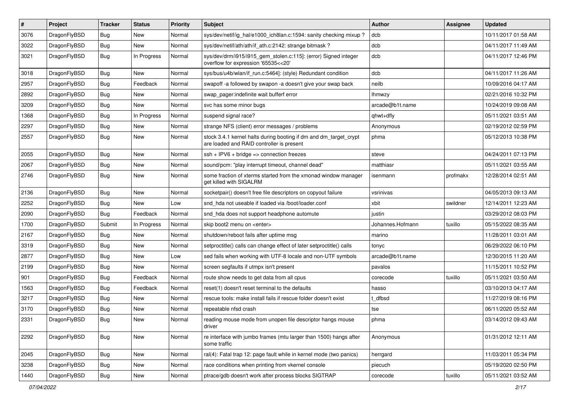| #    | Project      | <b>Tracker</b> | <b>Status</b> | <b>Priority</b> | <b>Subject</b>                                                                                                 | <b>Author</b>    | Assignee | <b>Updated</b>      |
|------|--------------|----------------|---------------|-----------------|----------------------------------------------------------------------------------------------------------------|------------------|----------|---------------------|
| 3076 | DragonFlyBSD | Bug            | <b>New</b>    | Normal          | sys/dev/netif/ig_hal/e1000_ich8lan.c:1594: sanity checking mixup ?                                             | dcb              |          | 10/11/2017 01:58 AM |
| 3022 | DragonFlyBSD | <b>Bug</b>     | <b>New</b>    | Normal          | sys/dev/netif/ath/ath/if_ath.c:2142: strange bitmask?                                                          | dcb              |          | 04/11/2017 11:49 AM |
| 3021 | DragonFlyBSD | Bug            | In Progress   | Normal          | sys/dev/drm/i915/i915_gem_stolen.c:115]: (error) Signed integer<br>overflow for expression '65535<<20'         | dcb              |          | 04/11/2017 12:46 PM |
| 3018 | DragonFlyBSD | <b>Bug</b>     | <b>New</b>    | Normal          | sys/bus/u4b/wlan/if_run.c:5464]: (style) Redundant condition                                                   | dcb              |          | 04/11/2017 11:26 AM |
| 2957 | DragonFlyBSD | <b>Bug</b>     | Feedback      | Normal          | swapoff -a followed by swapon -a doesn't give your swap back                                                   | neilb            |          | 10/09/2016 04:17 AM |
| 2892 | DragonFlyBSD | <b>Bug</b>     | <b>New</b>    | Normal          | swap_pager:indefinite wait bufferf error                                                                       | <b>Ihmwzy</b>    |          | 02/21/2016 10:32 PM |
| 3209 | DragonFlyBSD | <b>Bug</b>     | New           | Normal          | svc has some minor bugs                                                                                        | arcade@b1t.name  |          | 10/24/2019 09:08 AM |
| 1368 | DragonFlyBSD | <b>Bug</b>     | In Progress   | Normal          | suspend signal race?                                                                                           | qhwt+dfly        |          | 05/11/2021 03:51 AM |
| 2297 | DragonFlyBSD | <b>Bug</b>     | <b>New</b>    | Normal          | strange NFS (client) error messages / problems                                                                 | Anonymous        |          | 02/19/2012 02:59 PM |
| 2557 | DragonFlyBSD | Bug            | <b>New</b>    | Normal          | stock 3.4.1 kernel halts during booting if dm and dm_target_crypt<br>are loaded and RAID controller is present | phma             |          | 05/12/2013 10:38 PM |
| 2055 | DragonFlyBSD | Bug            | <b>New</b>    | Normal          | $ssh + IPV6 + bridge \Rightarrow$ connection freezes                                                           | steve            |          | 04/24/2011 07:13 PM |
| 2067 | DragonFlyBSD | <b>Bug</b>     | <b>New</b>    | Normal          | sound/pcm: "play interrupt timeout, channel dead"                                                              | matthiasr        |          | 05/11/2021 03:55 AM |
| 2746 | DragonFlyBSD | Bug            | New           | Normal          | some fraction of xterms started from the xmonad window manager<br>get killed with SIGALRM                      | isenmann         | profmakx | 12/28/2014 02:51 AM |
| 2136 | DragonFlyBSD | <b>Bug</b>     | <b>New</b>    | Normal          | socketpair() doesn't free file descriptors on copyout failure                                                  | vsrinivas        |          | 04/05/2013 09:13 AM |
| 2252 | DragonFlyBSD | <b>Bug</b>     | <b>New</b>    | Low             | snd_hda not useable if loaded via /boot/loader.conf                                                            | xbit             | swildner | 12/14/2011 12:23 AM |
| 2090 | DragonFlyBSD | <b>Bug</b>     | Feedback      | Normal          | snd hda does not support headphone automute                                                                    | justin           |          | 03/29/2012 08:03 PM |
| 1700 | DragonFlyBSD | Submit         | In Progress   | Normal          | skip boot2 menu on <enter></enter>                                                                             | Johannes.Hofmann | tuxillo  | 05/15/2022 08:35 AM |
| 2167 | DragonFlyBSD | <b>Bug</b>     | <b>New</b>    | Normal          | shutdown/reboot fails after uptime msg                                                                         | marino           |          | 11/28/2011 03:01 AM |
| 3319 | DragonFlyBSD | <b>Bug</b>     | <b>New</b>    | Normal          | setproctitle() calls can change effect of later setproctitle() calls                                           | tonyc            |          | 06/29/2022 06:10 PM |
| 2877 | DragonFlyBSD | <b>Bug</b>     | <b>New</b>    | Low             | sed fails when working with UTF-8 locale and non-UTF symbols                                                   | arcade@b1t.name  |          | 12/30/2015 11:20 AM |
| 2199 | DragonFlyBSD | <b>Bug</b>     | New           | Normal          | screen segfaults if utmpx isn't present                                                                        | pavalos          |          | 11/15/2011 10:52 PM |
| 901  | DragonFlyBSD | <b>Bug</b>     | Feedback      | Normal          | route show needs to get data from all cpus                                                                     | corecode         | tuxillo  | 05/11/2021 03:50 AM |
| 1563 | DragonFlyBSD | <b>Bug</b>     | Feedback      | Normal          | reset(1) doesn't reset terminal to the defaults                                                                | hasso            |          | 03/10/2013 04:17 AM |
| 3217 | DragonFlyBSD | Bug            | New           | Normal          | rescue tools: make install fails if rescue folder doesn't exist                                                | t dfbsd          |          | 11/27/2019 08:16 PM |
| 3170 | DragonFlyBSD | <b>Bug</b>     | <b>New</b>    | Normal          | repeatable nfsd crash                                                                                          | tse              |          | 06/11/2020 05:52 AM |
| 2331 | DragonFlyBSD | i Bug          | New           | Normal          | reading mouse mode from unopen file descriptor hangs mouse<br>driver                                           | phma             |          | 03/14/2012 09:43 AM |
| 2292 | DragonFlyBSD | <b>Bug</b>     | New           | Normal          | re interface with jumbo frames (mtu larger than 1500) hangs after<br>some traffic                              | Anonymous        |          | 01/31/2012 12:11 AM |
| 2045 | DragonFlyBSD | <b>Bug</b>     | New           | Normal          | ral(4): Fatal trap 12: page fault while in kernel mode (two panics)                                            | herrgard         |          | 11/03/2011 05:34 PM |
| 3238 | DragonFlyBSD | <b>Bug</b>     | New           | Normal          | race conditions when printing from vkernel console                                                             | piecuch          |          | 05/19/2020 02:50 PM |
| 1440 | DragonFlyBSD | <b>Bug</b>     | New           | Normal          | ptrace/gdb doesn't work after process blocks SIGTRAP                                                           | corecode         | tuxillo  | 05/11/2021 03:52 AM |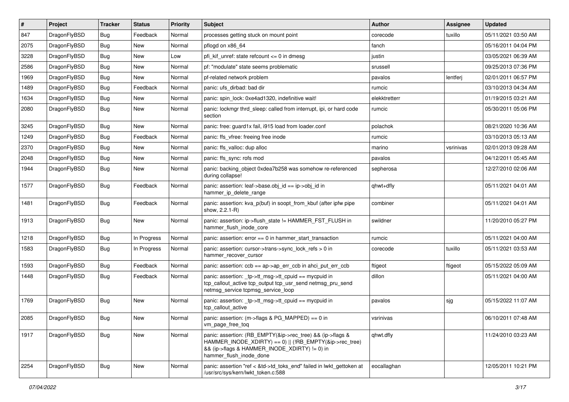| $\vert$ # | Project      | <b>Tracker</b> | <b>Status</b> | <b>Priority</b> | Subject                                                                                                                                                                                           | <b>Author</b> | <b>Assignee</b> | <b>Updated</b>      |
|-----------|--------------|----------------|---------------|-----------------|---------------------------------------------------------------------------------------------------------------------------------------------------------------------------------------------------|---------------|-----------------|---------------------|
| 847       | DragonFlyBSD | <b>Bug</b>     | Feedback      | Normal          | processes getting stuck on mount point                                                                                                                                                            | corecode      | tuxillo         | 05/11/2021 03:50 AM |
| 2075      | DragonFlyBSD | <b>Bug</b>     | New           | Normal          | pflogd on x86 64                                                                                                                                                                                  | fanch         |                 | 05/16/2011 04:04 PM |
| 3228      | DragonFlyBSD | <b>Bug</b>     | New           | Low             | pfi kif unref: state refcount $\leq$ 0 in dmesg                                                                                                                                                   | justin        |                 | 03/05/2021 06:39 AM |
| 2586      | DragonFlyBSD | <b>Bug</b>     | New           | Normal          | pf: "modulate" state seems problematic                                                                                                                                                            | srussell      |                 | 09/25/2013 07:36 PM |
| 1969      | DragonFlyBSD | <b>Bug</b>     | New           | Normal          | pf-related network problem                                                                                                                                                                        | pavalos       | lentferj        | 02/01/2011 06:57 PM |
| 1489      | DragonFlyBSD | <b>Bug</b>     | Feedback      | Normal          | panic: ufs dirbad: bad dir                                                                                                                                                                        | rumcic        |                 | 03/10/2013 04:34 AM |
| 1634      | DragonFlyBSD | <b>Bug</b>     | <b>New</b>    | Normal          | panic: spin_lock: 0xe4ad1320, indefinitive wait!                                                                                                                                                  | elekktretterr |                 | 01/19/2015 03:21 AM |
| 2080      | DragonFlyBSD | Bug            | New           | Normal          | panic: lockmgr thrd sleep: called from interrupt, ipi, or hard code<br>section                                                                                                                    | rumcic        |                 | 05/30/2011 05:06 PM |
| 3245      | DragonFlyBSD | <b>Bug</b>     | New           | Normal          | panic: free: guard1x fail, i915 load from loader.conf                                                                                                                                             | polachok      |                 | 08/21/2020 10:36 AM |
| 1249      | DragonFlyBSD | <b>Bug</b>     | Feedback      | Normal          | panic: ffs vfree: freeing free inode                                                                                                                                                              | rumcic        |                 | 03/10/2013 05:13 AM |
| 2370      | DragonFlyBSD | Bug            | New           | Normal          | panic: ffs valloc: dup alloc                                                                                                                                                                      | marino        | vsrinivas       | 02/01/2013 09:28 AM |
| 2048      | DragonFlyBSD | <b>Bug</b>     | New           | Normal          | panic: ffs sync: rofs mod                                                                                                                                                                         | pavalos       |                 | 04/12/2011 05:45 AM |
| 1944      | DragonFlyBSD | Bug            | New           | Normal          | panic: backing object 0xdea7b258 was somehow re-referenced<br>during collapse!                                                                                                                    | sepherosa     |                 | 12/27/2010 02:06 AM |
| 1577      | DragonFlyBSD | Bug            | Feedback      | Normal          | panic: assertion: leaf->base.obj_id == ip->obj_id in<br>hammer_ip_delete_range                                                                                                                    | ghwt+dfly     |                 | 05/11/2021 04:01 AM |
| 1481      | DragonFlyBSD | Bug            | Feedback      | Normal          | panic: assertion: kva_p(buf) in soopt_from_kbuf (after ipfw pipe<br>show, 2.2.1-R)                                                                                                                | combiner      |                 | 05/11/2021 04:01 AM |
| 1913      | DragonFlyBSD | Bug            | New           | Normal          | panic: assertion: ip->flush_state != HAMMER_FST_FLUSH in<br>hammer_flush_inode_core                                                                                                               | swildner      |                 | 11/20/2010 05:27 PM |
| 1218      | DragonFlyBSD | <b>Bug</b>     | In Progress   | Normal          | panic: assertion: $error == 0$ in hammer start transaction                                                                                                                                        | rumcic        |                 | 05/11/2021 04:00 AM |
| 1583      | DragonFlyBSD | Bug            | In Progress   | Normal          | panic: assertion: cursor->trans->sync_lock_refs > 0 in<br>hammer recover cursor                                                                                                                   | corecode      | tuxillo         | 05/11/2021 03:53 AM |
| 1593      | DragonFlyBSD | <b>Bug</b>     | Feedback      | Normal          | panic: assertion: ccb == ap->ap_err_ccb in ahci_put_err_ccb                                                                                                                                       | ftigeot       | ftigeot         | 05/15/2022 05:09 AM |
| 1448      | DragonFlyBSD | Bug            | Feedback      | Normal          | panic: assertion: _tp->tt_msg->tt_cpuid == mycpuid in<br>tcp_callout_active tcp_output tcp_usr_send netmsg_pru_send<br>netmsg_service tcpmsg_service_loop                                         | dillon        |                 | 05/11/2021 04:00 AM |
| 1769      | DragonFlyBSD | Bug            | <b>New</b>    | Normal          | panic: assertion: _tp->tt_msg->tt_cpuid == mycpuid in<br>tcp_callout_active                                                                                                                       | pavalos       | sjg             | 05/15/2022 11:07 AM |
| 2085      | DragonFlyBSD | Bug            | <b>New</b>    | Normal          | panic: assertion: (m->flags & PG MAPPED) == 0 in<br>vm_page_free_toq                                                                                                                              | vsrinivas     |                 | 06/10/2011 07:48 AM |
| 1917      | DragonFlyBSD | <b>Bug</b>     | New           | Normal          | panic: assertion: (RB_EMPTY(&ip->rec_tree) && (ip->flags &<br>HAMMER_INODE_XDIRTY) == 0)    (!RB_EMPTY(&ip->rec_tree)<br>&& (ip->flags & HAMMER_INODE_XDIRTY) != 0) in<br>hammer_flush_inode_done | qhwt.dfly     |                 | 11/24/2010 03:23 AM |
| 2254      | DragonFlyBSD | Bug            | New           | Normal          | panic: assertion "ref < &td->td_toks_end" failed in lwkt_gettoken at<br>/usr/src/sys/kern/lwkt_token.c:588                                                                                        | eocallaghan   |                 | 12/05/2011 10:21 PM |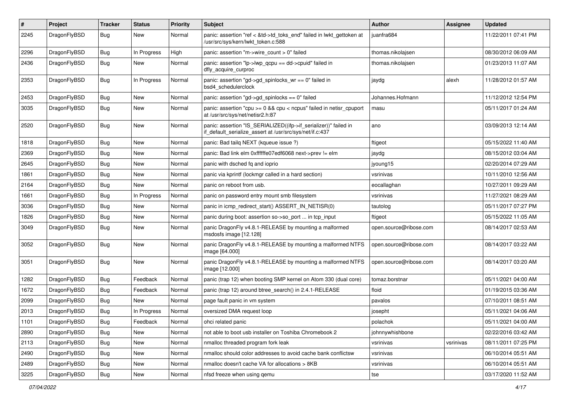| $\pmb{\#}$ | Project      | <b>Tracker</b> | <b>Status</b> | <b>Priority</b> | Subject                                                                                                                      | <b>Author</b>          | Assignee  | <b>Updated</b>      |
|------------|--------------|----------------|---------------|-----------------|------------------------------------------------------------------------------------------------------------------------------|------------------------|-----------|---------------------|
| 2245       | DragonFlyBSD | Bug            | New           | Normal          | panic: assertion "ref < &td->td_toks_end" failed in lwkt_gettoken at<br>/usr/src/sys/kern/lwkt_token.c:588                   | juanfra684             |           | 11/22/2011 07:41 PM |
| 2296       | DragonFlyBSD | <b>Bug</b>     | In Progress   | High            | panic: assertion "m->wire count > 0" failed                                                                                  | thomas.nikolajsen      |           | 08/30/2012 06:09 AM |
| 2436       | DragonFlyBSD | Bug            | New           | Normal          | panic: assertion "lp->lwp_qcpu == dd->cpuid" failed in<br>dfly_acquire_curproc                                               | thomas.nikolajsen      |           | 01/23/2013 11:07 AM |
| 2353       | DragonFlyBSD | <b>Bug</b>     | In Progress   | Normal          | panic: assertion "gd->gd_spinlocks_wr == 0" failed in<br>bsd4_schedulerclock                                                 | jaydg                  | alexh     | 11/28/2012 01:57 AM |
| 2453       | DragonFlyBSD | <b>Bug</b>     | <b>New</b>    | Normal          | panic: assertion "gd->gd_spinlocks == 0" failed                                                                              | Johannes.Hofmann       |           | 11/12/2012 12:54 PM |
| 3035       | DragonFlyBSD | Bug            | New           | Normal          | panic: assertion "cpu $>= 0$ && cpu $<$ ncpus" failed in netisr cpuport<br>at /usr/src/sys/net/netisr2.h:87                  | masu                   |           | 05/11/2017 01:24 AM |
| 2520       | DragonFlyBSD | Bug            | New           | Normal          | panic: assertion "IS_SERIALIZED((ifp->if_serializer))" failed in<br>if_default_serialize_assert at /usr/src/sys/net/if.c:437 | ano                    |           | 03/09/2013 12:14 AM |
| 1818       | DragonFlyBSD | Bug            | New           | Normal          | panic: Bad tailg NEXT (kqueue issue ?)                                                                                       | ftigeot                |           | 05/15/2022 11:40 AM |
| 2369       | DragonFlyBSD | Bug            | New           | Normal          | panic: Bad link elm 0xffffffe07edf6068 next->prev != elm                                                                     | jaydg                  |           | 08/15/2012 03:04 AM |
| 2645       | DragonFlyBSD | Bug            | New           | Normal          | panic with dsched fq and ioprio                                                                                              | jyoung15               |           | 02/20/2014 07:29 AM |
| 1861       | DragonFlyBSD | <b>Bug</b>     | <b>New</b>    | Normal          | panic via kprintf (lockmgr called in a hard section)                                                                         | vsrinivas              |           | 10/11/2010 12:56 AM |
| 2164       | DragonFlyBSD | Bug            | New           | Normal          | panic on reboot from usb.                                                                                                    | eocallaghan            |           | 10/27/2011 09:29 AM |
| 1661       | DragonFlyBSD | Bug            | In Progress   | Normal          | panic on password entry mount smb filesystem                                                                                 | vsrinivas              |           | 11/27/2021 08:29 AM |
| 3036       | DragonFlyBSD | Bug            | New           | Normal          | panic in icmp redirect start() ASSERT IN NETISR(0)                                                                           | tautolog               |           | 05/11/2017 07:27 PM |
| 1826       | DragonFlyBSD | Bug            | New           | Normal          | panic during boot: assertion so->so_port  in tcp_input                                                                       | ftigeot                |           | 05/15/2022 11:05 AM |
| 3049       | DragonFlyBSD | Bug            | <b>New</b>    | Normal          | panic DragonFly v4.8.1-RELEASE by mounting a malformed<br>msdosfs image [12.128]                                             | open.source@ribose.com |           | 08/14/2017 02:53 AM |
| 3052       | DragonFlyBSD | Bug            | New           | Normal          | panic DragonFly v4.8.1-RELEASE by mounting a malformed NTFS<br>image [64.000]                                                | open.source@ribose.com |           | 08/14/2017 03:22 AM |
| 3051       | DragonFlyBSD | Bug            | <b>New</b>    | Normal          | panic DragonFly v4.8.1-RELEASE by mounting a malformed NTFS<br>image [12.000]                                                | open.source@ribose.com |           | 08/14/2017 03:20 AM |
| 1282       | DragonFlyBSD | <b>Bug</b>     | Feedback      | Normal          | panic (trap 12) when booting SMP kernel on Atom 330 (dual core)                                                              | tomaz.borstnar         |           | 05/11/2021 04:00 AM |
| 1672       | DragonFlyBSD | Bug            | Feedback      | Normal          | panic (trap 12) around btree_search() in 2.4.1-RELEASE                                                                       | floid                  |           | 01/19/2015 03:36 AM |
| 2099       | DragonFlyBSD | Bug            | New           | Normal          | page fault panic in vm system                                                                                                | pavalos                |           | 07/10/2011 08:51 AM |
| 2013       | DragonFlyBSD | Bug            | In Progress   | Normal          | oversized DMA request loop                                                                                                   | josepht                |           | 05/11/2021 04:06 AM |
| 1101       | DragonFlyBSD | <b>Bug</b>     | Feedback      | Normal          | ohci related panic                                                                                                           | polachok               |           | 05/11/2021 04:00 AM |
| 2890       | DragonFlyBSD | <b>Bug</b>     | New           | Normal          | not able to boot usb installer on Toshiba Chromebook 2                                                                       | johnnywhishbone        |           | 02/22/2016 03:42 AM |
| 2113       | DragonFlyBSD | Bug            | New           | Normal          | nmalloc threaded program fork leak                                                                                           | vsrinivas              | vsrinivas | 08/11/2011 07:25 PM |
| 2490       | DragonFlyBSD | Bug            | New           | Normal          | nmalloc should color addresses to avoid cache bank conflictsw                                                                | vsrinivas              |           | 06/10/2014 05:51 AM |
| 2489       | DragonFlyBSD | Bug            | New           | Normal          | nmalloc doesn't cache VA for allocations > 8KB                                                                               | vsrinivas              |           | 06/10/2014 05:51 AM |
| 3225       | DragonFlyBSD | <b>Bug</b>     | New           | Normal          | nfsd freeze when using gemu                                                                                                  | tse                    |           | 03/17/2020 11:52 AM |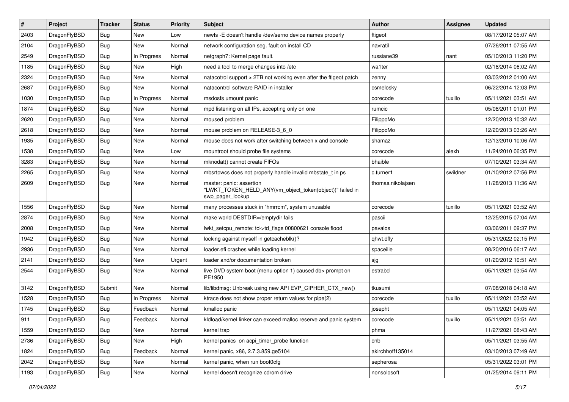| $\sharp$ | Project      | <b>Tracker</b> | <b>Status</b> | <b>Priority</b> | Subject                                                                                                  | <b>Author</b>     | Assignee | <b>Updated</b>      |
|----------|--------------|----------------|---------------|-----------------|----------------------------------------------------------------------------------------------------------|-------------------|----------|---------------------|
| 2403     | DragonFlyBSD | Bug            | New           | Low             | newfs - E doesn't handle /dev/serno device names properly                                                | ftigeot           |          | 08/17/2012 05:07 AM |
| 2104     | DragonFlyBSD | Bug            | <b>New</b>    | Normal          | network configuration seg. fault on install CD                                                           | navratil          |          | 07/26/2011 07:55 AM |
| 2549     | DragonFlyBSD | Bug            | In Progress   | Normal          | netgraph7: Kernel page fault.                                                                            | russiane39        | nant     | 05/10/2013 11:20 PM |
| 1185     | DragonFlyBSD | Bug            | <b>New</b>    | High            | need a tool to merge changes into /etc                                                                   | wa1ter            |          | 02/18/2014 06:02 AM |
| 2324     | DragonFlyBSD | Bug            | New           | Normal          | natacotrol support > 2TB not working even after the ftigeot patch                                        | zenny             |          | 03/03/2012 01:00 AM |
| 2687     | DragonFlyBSD | <b>Bug</b>     | <b>New</b>    | Normal          | natacontrol software RAID in installer                                                                   | csmelosky         |          | 06/22/2014 12:03 PM |
| 1030     | DragonFlyBSD | Bug            | In Progress   | Normal          | msdosfs umount panic                                                                                     | corecode          | tuxillo  | 05/11/2021 03:51 AM |
| 1874     | DragonFlyBSD | <b>Bug</b>     | <b>New</b>    | Normal          | mpd listening on all IPs, accepting only on one                                                          | rumcic            |          | 05/08/2011 01:01 PM |
| 2620     | DragonFlyBSD | Bug            | New           | Normal          | moused problem                                                                                           | FilippoMo         |          | 12/20/2013 10:32 AM |
| 2618     | DragonFlyBSD | Bug            | <b>New</b>    | Normal          | mouse problem on RELEASE-3_6_0                                                                           | FilippoMo         |          | 12/20/2013 03:26 AM |
| 1935     | DragonFlyBSD | Bug            | New           | Normal          | mouse does not work after switching between x and console                                                | shamaz            |          | 12/13/2010 10:06 AM |
| 1538     | DragonFlyBSD | Bug            | <b>New</b>    | Low             | mountroot should probe file systems                                                                      | corecode          | alexh    | 11/24/2010 06:35 PM |
| 3283     | DragonFlyBSD | Bug            | <b>New</b>    | Normal          | mknodat() cannot create FIFOs                                                                            | bhaible           |          | 07/10/2021 03:34 AM |
| 2265     | DragonFlyBSD | Bug            | New           | Normal          | mbsrtowcs does not properly handle invalid mbstate_t in ps                                               | c.turner1         | swildner | 01/10/2012 07:56 PM |
| 2609     | DragonFlyBSD | Bug            | New           | Normal          | master: panic: assertion<br>"LWKT_TOKEN_HELD_ANY(vm_object_token(object))" failed in<br>swp_pager_lookup | thomas.nikolajsen |          | 11/28/2013 11:36 AM |
| 1556     | DragonFlyBSD | Bug            | <b>New</b>    | Normal          | many processes stuck in "hmrrcm", system unusable                                                        | corecode          | tuxillo  | 05/11/2021 03:52 AM |
| 2874     | DragonFlyBSD | <b>Bug</b>     | New           | Normal          | make world DESTDIR=/emptydir fails                                                                       | pascii            |          | 12/25/2015 07:04 AM |
| 2008     | DragonFlyBSD | <b>Bug</b>     | <b>New</b>    | Normal          | lwkt_setcpu_remote: td->td_flags 00800621 console flood                                                  | pavalos           |          | 03/06/2011 09:37 PM |
| 1942     | DragonFlyBSD | <b>Bug</b>     | New           | Normal          | locking against myself in getcacheblk()?                                                                 | qhwt.dfly         |          | 05/31/2022 02:15 PM |
| 2936     | DragonFlyBSD | <b>Bug</b>     | New           | Normal          | loader.efi crashes while loading kernel                                                                  | spaceille         |          | 08/20/2016 06:17 AM |
| 2141     | DragonFlyBSD | Bug            | New           | Urgent          | loader and/or documentation broken                                                                       | sjg               |          | 01/20/2012 10:51 AM |
| 2544     | DragonFlyBSD | <b>Bug</b>     | New           | Normal          | live DVD system boot (menu option 1) caused db> prompt on<br>PE1950                                      | estrabd           |          | 05/11/2021 03:54 AM |
| 3142     | DragonFlyBSD | Submit         | New           | Normal          | lib/libdmsg: Unbreak using new API EVP_CIPHER_CTX_new()                                                  | tkusumi           |          | 07/08/2018 04:18 AM |
| 1528     | DragonFlyBSD | <b>Bug</b>     | In Progress   | Normal          | ktrace does not show proper return values for pipe(2)                                                    | corecode          | tuxillo  | 05/11/2021 03:52 AM |
| 1745     | DragonFlyBSD | <b>Bug</b>     | Feedback      | Normal          | kmalloc panic                                                                                            | josepht           |          | 05/11/2021 04:05 AM |
| 911      | DragonFlyBSD | Bug            | Feedback      | Normal          | kldload/kernel linker can exceed malloc reserve and panic system                                         | corecode          | tuxillo  | 05/11/2021 03:51 AM |
| 1559     | DragonFlyBSD | <b>Bug</b>     | <b>New</b>    | Normal          | kernel trap                                                                                              | phma              |          | 11/27/2021 08:43 AM |
| 2736     | DragonFlyBSD | Bug            | New           | High            | kernel panics on acpi_timer_probe function                                                               | cnb               |          | 05/11/2021 03:55 AM |
| 1824     | DragonFlyBSD | Bug            | Feedback      | Normal          | kernel panic, x86, 2.7.3.859.ge5104                                                                      | akirchhoff135014  |          | 03/10/2013 07:49 AM |
| 2042     | DragonFlyBSD | <b>Bug</b>     | New           | Normal          | kernel panic, when run boot0cfg                                                                          | sepherosa         |          | 05/31/2022 03:01 PM |
| 1193     | DragonFlyBSD | <b>Bug</b>     | New           | Normal          | kernel doesn't recognize cdrom drive                                                                     | nonsolosoft       |          | 01/25/2014 09:11 PM |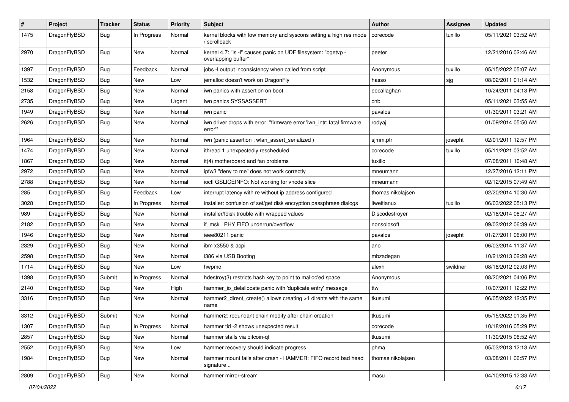| $\sharp$ | Project      | <b>Tracker</b> | <b>Status</b> | <b>Priority</b> | Subject                                                                              | <b>Author</b>     | Assignee | <b>Updated</b>      |
|----------|--------------|----------------|---------------|-----------------|--------------------------------------------------------------------------------------|-------------------|----------|---------------------|
| 1475     | DragonFlyBSD | Bug            | In Progress   | Normal          | kernel blocks with low memory and syscons setting a high res mode<br>/ scrollback    | corecode          | tuxillo  | 05/11/2021 03:52 AM |
| 2970     | DragonFlyBSD | Bug            | <b>New</b>    | Normal          | kernel 4.7: "Is -I" causes panic on UDF filesystem: "bgetvp -<br>overlapping buffer" | peeter            |          | 12/21/2016 02:46 AM |
| 1397     | DragonFlyBSD | Bug            | Feedback      | Normal          | jobs -I output inconsistency when called from script                                 | Anonymous         | tuxillo  | 05/15/2022 05:07 AM |
| 1532     | DragonFlyBSD | <b>Bug</b>     | New           | Low             | jemalloc doesn't work on DragonFly                                                   | hasso             | sjg      | 08/02/2011 01:14 AM |
| 2158     | DragonFlyBSD | <b>Bug</b>     | New           | Normal          | iwn panics with assertion on boot.                                                   | eocallaghan       |          | 10/24/2011 04:13 PM |
| 2735     | DragonFlyBSD | <b>Bug</b>     | New           | Urgent          | iwn panics SYSSASSERT                                                                | cnb               |          | 05/11/2021 03:55 AM |
| 1949     | DragonFlyBSD | <b>Bug</b>     | <b>New</b>    | Normal          | iwn panic                                                                            | pavalos           |          | 01/30/2011 03:21 AM |
| 2626     | DragonFlyBSD | Bug            | New           | Normal          | iwn driver drops with error: "firmware error 'iwn_intr: fatal firmware<br>error"     | rodyaj            |          | 01/09/2014 05:50 AM |
| 1964     | DragonFlyBSD | Bug            | <b>New</b>    | Normal          | iwn (panic assertion : wlan_assert_serialized)                                       | sjmm.ptr          | josepht  | 02/01/2011 12:57 PM |
| 1474     | DragonFlyBSD | Bug            | <b>New</b>    | Normal          | ithread 1 unexpectedly rescheduled                                                   | corecode          | tuxillo  | 05/11/2021 03:52 AM |
| 1867     | DragonFlyBSD | <b>Bug</b>     | New           | Normal          | it(4) motherboard and fan problems                                                   | tuxillo           |          | 07/08/2011 10:48 AM |
| 2972     | DragonFlyBSD | <b>Bug</b>     | New           | Normal          | ipfw3 "deny to me" does not work correctly                                           | mneumann          |          | 12/27/2016 12:11 PM |
| 2788     | DragonFlyBSD | <b>Bug</b>     | <b>New</b>    | Normal          | ioctl GSLICEINFO: Not working for vnode slice                                        | mneumann          |          | 02/12/2015 07:49 AM |
| 285      | DragonFlyBSD | <b>Bug</b>     | Feedback      | Low             | interrupt latency with re without ip address configured                              | thomas.nikolajsen |          | 02/20/2014 10:30 AM |
| 3028     | DragonFlyBSD | Bug            | In Progress   | Normal          | installer: confusion of set/get disk encryption passphrase dialogs                   | liweitianux       | tuxillo  | 06/03/2022 05:13 PM |
| 989      | DragonFlyBSD | Bug            | <b>New</b>    | Normal          | installer/fdisk trouble with wrapped values                                          | Discodestroyer    |          | 02/18/2014 06:27 AM |
| 2182     | DragonFlyBSD | Bug            | <b>New</b>    | Normal          | if msk PHY FIFO underrun/overflow                                                    | nonsolosoft       |          | 09/03/2012 06:39 AM |
| 1946     | DragonFlyBSD | Bug            | New           | Normal          | ieee80211 panic                                                                      | pavalos           | josepht  | 01/27/2011 06:00 PM |
| 2329     | DragonFlyBSD | Bug            | <b>New</b>    | Normal          | ibm x3550 & acpi                                                                     | ano               |          | 06/03/2014 11:37 AM |
| 2598     | DragonFlyBSD | Bug            | <b>New</b>    | Normal          | i386 via USB Booting                                                                 | mbzadegan         |          | 10/21/2013 02:28 AM |
| 1714     | DragonFlyBSD | Bug            | New           | Low             | hwpmc                                                                                | alexh             | swildner | 08/18/2012 02:03 PM |
| 1398     | DragonFlyBSD | Submit         | In Progress   | Normal          | hdestroy(3) restricts hash key to point to malloc'ed space                           | Anonymous         |          | 08/20/2021 04:06 PM |
| 2140     | DragonFlyBSD | Bug            | New           | High            | hammer_io_delallocate panic with 'duplicate entry' message                           | ttw               |          | 10/07/2011 12:22 PM |
| 3316     | DragonFlyBSD | Bug            | New           | Normal          | hammer2_dirent_create() allows creating >1 dirents with the same<br>name             | tkusumi           |          | 06/05/2022 12:35 PM |
| 3312     | DragonFlyBSD | Submit         | <b>New</b>    | Normal          | hammer2: redundant chain modify after chain creation                                 | tkusumi           |          | 05/15/2022 01:35 PM |
| 1307     | DragonFlyBSD | <b>Bug</b>     | In Progress   | Normal          | hammer tid -2 shows unexpected result                                                | corecode          |          | 10/18/2016 05:29 PM |
| 2857     | DragonFlyBSD | <b>Bug</b>     | <b>New</b>    | Normal          | hammer stalls via bitcoin-qt                                                         | tkusumi           |          | 11/30/2015 06:52 AM |
| 2552     | DragonFlyBSD | <b>Bug</b>     | New           | Low             | hammer recovery should indicate progress                                             | phma              |          | 05/03/2013 12:13 AM |
| 1984     | DragonFlyBSD | <b>Bug</b>     | New           | Normal          | hammer mount fails after crash - HAMMER: FIFO record bad head<br>signature           | thomas.nikolajsen |          | 03/08/2011 06:57 PM |
| 2809     | DragonFlyBSD | Bug            | New           | Normal          | hammer mirror-stream                                                                 | masu              |          | 04/10/2015 12:33 AM |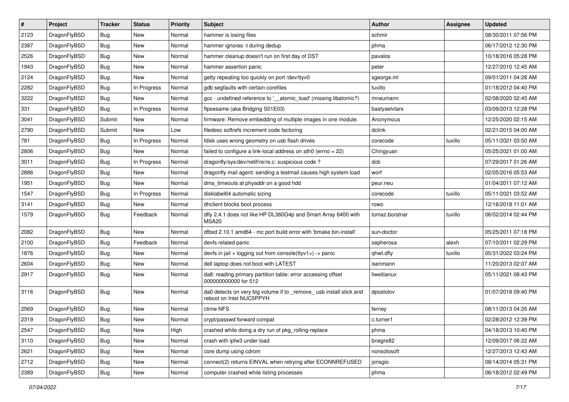| $\sharp$ | Project      | <b>Tracker</b> | <b>Status</b> | <b>Priority</b> | Subject                                                                                         | <b>Author</b>  | Assignee | <b>Updated</b>      |
|----------|--------------|----------------|---------------|-----------------|-------------------------------------------------------------------------------------------------|----------------|----------|---------------------|
| 2123     | DragonFlyBSD | Bug            | New           | Normal          | hammer is losing files                                                                          | schmir         |          | 08/30/2011 07:56 PM |
| 2387     | DragonFlyBSD | Bug            | New           | Normal          | hammer ignores -t during dedup                                                                  | phma           |          | 06/17/2012 12:30 PM |
| 2526     | DragonFlyBSD | Bug            | New           | Normal          | hammer cleanup doesn't run on first day of DST                                                  | pavalos        |          | 10/18/2016 05:28 PM |
| 1943     | DragonFlyBSD | Bug            | <b>New</b>    | Normal          | hammer assertion panic                                                                          | peter          |          | 12/27/2010 12:45 AM |
| 2124     | DragonFlyBSD | <b>Bug</b>     | <b>New</b>    | Normal          | getty repeating too quickly on port /dev/ttyv0                                                  | sgeorge.ml     |          | 09/01/2011 04:28 AM |
| 2282     | DragonFlyBSD | <b>Bug</b>     | In Progress   | Normal          | gdb segfaults with certain corefiles                                                            | tuxillo        |          | 01/18/2012 04:40 PM |
| 3222     | DragonFlyBSD | <b>Bug</b>     | <b>New</b>    | Normal          | gcc - undefined reference to '__atomic_load' (missing libatomic?)                               | mneumann       |          | 02/08/2020 02:45 AM |
| 331      | DragonFlyBSD | <b>Bug</b>     | In Progress   | Normal          | ftpsesame (aka Bridging S01E03)                                                                 | bastyaelvtars  |          | 03/09/2013 12:28 PM |
| 3041     | DragonFlyBSD | Submit         | <b>New</b>    | Normal          | firmware: Remove embedding of multiple images in one module.                                    | Anonymous      |          | 12/25/2020 02:15 AM |
| 2790     | DragonFlyBSD | Submit         | New           | Low             | filedesc softrefs increment code factoring                                                      | dclink         |          | 02/21/2015 04:00 AM |
| 781      | DragonFlyBSD | <b>Bug</b>     | In Progress   | Normal          | fdisk uses wrong geometry on usb flash drives                                                   | corecode       | tuxillo  | 05/11/2021 03:50 AM |
| 2806     | DragonFlyBSD | <b>Bug</b>     | <b>New</b>    | Normal          | failed to configure a link-local address on ath0 (errno = 22)                                   | Chingyuan      |          | 05/25/2021 01:00 AM |
| 3011     | DragonFlyBSD | Bug            | In Progress   | Normal          | dragonfly/sys/dev/netif/re/re.c: suspicious code?                                               | dcb            |          | 07/29/2017 01:26 AM |
| 2886     | DragonFlyBSD | <b>Bug</b>     | New           | Normal          | dragonfly mail agent: sending a testmail causes high system load                                | worf           |          | 02/05/2016 05:53 AM |
| 1951     | DragonFlyBSD | <b>Bug</b>     | New           | Normal          | dma_timeouts at phyaddr on a good hdd                                                           | peur.neu       |          | 01/04/2011 07:12 AM |
| 1547     | DragonFlyBSD | <b>Bug</b>     | In Progress   | Normal          | disklabel64 automatic sizing                                                                    | corecode       | tuxillo  | 05/11/2021 03:52 AM |
| 3141     | DragonFlyBSD | <b>Bug</b>     | New           | Normal          | dhclient blocks boot process                                                                    | rowo           |          | 12/16/2018 11:01 AM |
| 1579     | DragonFlyBSD | <b>Bug</b>     | Feedback      | Normal          | dfly 2.4.1 does not like HP DL360G4p and Smart Array 6400 with<br>MSA20                         | tomaz.borstnar | tuxillo  | 06/02/2014 02:44 PM |
| 2082     | DragonFlyBSD | Bug            | <b>New</b>    | Normal          | dfbsd 2.10.1 amd64 - mc port build error with 'bmake bin-install'                               | sun-doctor     |          | 05/25/2011 07:18 PM |
| 2100     | DragonFlyBSD | Bug            | Feedback      | Normal          | devfs related panic                                                                             | sepherosa      | alexh    | 07/10/2011 02:29 PM |
| 1876     | DragonFlyBSD | <b>Bug</b>     | New           | Normal          | devfs in jail + logging out from console(ttyv1+) -> panic                                       | qhwt.dfly      | tuxillo  | 05/31/2022 03:24 PM |
| 2604     | DragonFlyBSD | <b>Bug</b>     | <b>New</b>    | Normal          | dell laptop does not boot with LATEST                                                           | isenmann       |          | 11/20/2013 02:07 AM |
| 2917     | DragonFlyBSD | <b>Bug</b>     | New           | Normal          | da8: reading primary partition table: error accessing offset<br>000000000000 for 512            | liweitianux    |          | 05/11/2021 08:43 PM |
| 3116     | DragonFlyBSD | <b>Bug</b>     | New           | Normal          | da0 detects on very big volume if to _remove_ usb install stick and<br>reboot on Intel NUC5PPYH | dpostolov      |          | 01/07/2018 09:40 PM |
| 2569     | DragonFlyBSD | Bug            | New           | Normal          | ctime NFS                                                                                       | ferney         |          | 08/11/2013 04:35 AM |
| 2319     | DragonFlyBSD | Bug            | <b>New</b>    | Normal          | crypt/passwd forward compat                                                                     | c.turner1      |          | 02/28/2012 12:39 PM |
| 2547     | DragonFlyBSD | <b>Bug</b>     | <b>New</b>    | High            | crashed while doing a dry run of pkg rolling-replace                                            | phma           |          | 04/18/2013 10:40 PM |
| 3110     | DragonFlyBSD | Bug            | <b>New</b>    | Normal          | crash with ipfw3 under load                                                                     | bnegre82       |          | 12/09/2017 06:22 AM |
| 2621     | DragonFlyBSD | Bug            | New           | Normal          | core dump using cdrom                                                                           | nonsolosoft    |          | 12/27/2013 12:43 AM |
| 2712     | DragonFlyBSD | Bug            | New           | Normal          | connect(2) returns EINVAL when retrying after ECONNREFUSED                                      | jorisgio       |          | 08/14/2014 05:31 PM |
| 2389     | DragonFlyBSD | <b>Bug</b>     | New           | Normal          | computer crashed while listing processes                                                        | phma           |          | 06/18/2012 02:49 PM |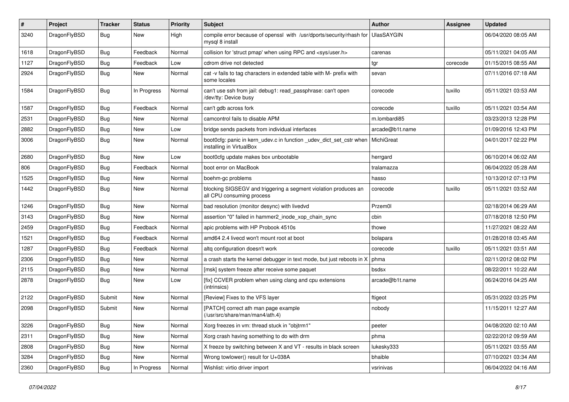| #    | Project      | <b>Tracker</b> | <b>Status</b> | <b>Priority</b> | Subject                                                                                         | <b>Author</b>     | Assignee | <b>Updated</b>      |
|------|--------------|----------------|---------------|-----------------|-------------------------------------------------------------------------------------------------|-------------------|----------|---------------------|
| 3240 | DragonFlyBSD | Bug            | New           | High            | compile error because of openssl with /usr/dports/security/rhash for<br>mysql 8 install         | <b>UlasSAYGIN</b> |          | 06/04/2020 08:05 AM |
| 1618 | DragonFlyBSD | Bug            | Feedback      | Normal          | collision for 'struct pmap' when using RPC and <sys user.h=""></sys>                            | carenas           |          | 05/11/2021 04:05 AM |
| 1127 | DragonFlyBSD | <b>Bug</b>     | Feedback      | Low             | cdrom drive not detected                                                                        | tgr               | corecode | 01/15/2015 08:55 AM |
| 2924 | DragonFlyBSD | Bug            | New           | Normal          | cat -v fails to tag characters in extended table with M- prefix with<br>some locales            | sevan             |          | 07/11/2016 07:18 AM |
| 1584 | DragonFlyBSD | Bug            | In Progress   | Normal          | can't use ssh from jail: debug1: read_passphrase: can't open<br>/dev/tty: Device busy           | corecode          | tuxillo  | 05/11/2021 03:53 AM |
| 1587 | DragonFlyBSD | Bug            | Feedback      | Normal          | can't gdb across fork                                                                           | corecode          | tuxillo  | 05/11/2021 03:54 AM |
| 2531 | DragonFlyBSD | Bug            | New           | Normal          | camcontrol fails to disable APM                                                                 | m.lombardi85      |          | 03/23/2013 12:28 PM |
| 2882 | DragonFlyBSD | Bug            | New           | Low             | bridge sends packets from individual interfaces                                                 | arcade@b1t.name   |          | 01/09/2016 12:43 PM |
| 3006 | DragonFlyBSD | Bug            | <b>New</b>    | Normal          | boot0cfg: panic in kern_udev.c in function _udev_dict_set_cstr when<br>installing in VirtualBox | MichiGreat        |          | 04/01/2017 02:22 PM |
| 2680 | DragonFlyBSD | Bug            | New           | Low             | boot0cfg update makes box unbootable                                                            | herrgard          |          | 06/10/2014 06:02 AM |
| 806  | DragonFlyBSD | <b>Bug</b>     | Feedback      | Normal          | boot error on MacBook                                                                           | tralamazza        |          | 06/04/2022 05:28 AM |
| 1525 | DragonFlyBSD | <b>Bug</b>     | New           | Normal          | boehm-gc problems                                                                               | hasso             |          | 10/13/2012 07:13 PM |
| 1442 | DragonFlyBSD | <b>Bug</b>     | New           | Normal          | blocking SIGSEGV and triggering a segment violation produces an<br>all CPU consuming process    | corecode          | tuxillo  | 05/11/2021 03:52 AM |
| 1246 | DragonFlyBSD | Bug            | <b>New</b>    | Normal          | bad resolution (monitor desync) with livedvd                                                    | Przem0l           |          | 02/18/2014 06:29 AM |
| 3143 | DragonFlyBSD | <b>Bug</b>     | <b>New</b>    | Normal          | assertion "0" failed in hammer2 inode xop chain sync                                            | cbin              |          | 07/18/2018 12:50 PM |
| 2459 | DragonFlyBSD | Bug            | Feedback      | Normal          | apic problems with HP Probook 4510s                                                             | thowe             |          | 11/27/2021 08:22 AM |
| 1521 | DragonFlyBSD | <b>Bug</b>     | Feedback      | Normal          | amd64 2.4 livecd won't mount root at boot                                                       | bolapara          |          | 01/28/2018 03:45 AM |
| 1287 | DragonFlyBSD | Bug            | Feedback      | Normal          | altg configuration doesn't work                                                                 | corecode          | tuxillo  | 05/11/2021 03:51 AM |
| 2306 | DragonFlyBSD | <b>Bug</b>     | New           | Normal          | a crash starts the kernel debugger in text mode, but just reboots in X                          | phma              |          | 02/11/2012 08:02 PM |
| 2115 | DragonFlyBSD | <b>Bug</b>     | New           | Normal          | [msk] system freeze after receive some paquet                                                   | bsdsx             |          | 08/22/2011 10:22 AM |
| 2878 | DragonFlyBSD | Bug            | New           | Low             | [fix] CCVER problem when using clang and cpu extensions<br>(intrinsics)                         | arcade@b1t.name   |          | 06/24/2016 04:25 AM |
| 2122 | DragonFlyBSD | Submit         | New           | Normal          | [Review] Fixes to the VFS layer                                                                 | ftigeot           |          | 05/31/2022 03:25 PM |
| 2098 | DragonFlyBSD | Submit         | New           | Normal          | [PATCH] correct ath man page example<br>(/usr/src/share/man/man4/ath.4)                         | nobody            |          | 11/15/2011 12:27 AM |
| 3226 | DragonFlyBSD | <b>Bug</b>     | <b>New</b>    | Normal          | Xorg freezes in vm: thread stuck in "objtrm1"                                                   | peeter            |          | 04/08/2020 02:10 AM |
| 2311 | DragonFlyBSD | <b>Bug</b>     | New           | Normal          | Xorg crash having something to do with drm                                                      | phma              |          | 02/22/2012 09:59 AM |
| 2808 | DragonFlyBSD | <b>Bug</b>     | New           | Normal          | X freeze by switching between X and VT - results in black screen                                | lukesky333        |          | 05/11/2021 03:55 AM |
| 3284 | DragonFlyBSD | <b>Bug</b>     | New           | Normal          | Wrong towlower() result for U+038A                                                              | bhaible           |          | 07/10/2021 03:34 AM |
| 2360 | DragonFlyBSD | <b>Bug</b>     | In Progress   | Normal          | Wishlist: virtio driver import                                                                  | vsrinivas         |          | 06/04/2022 04:16 AM |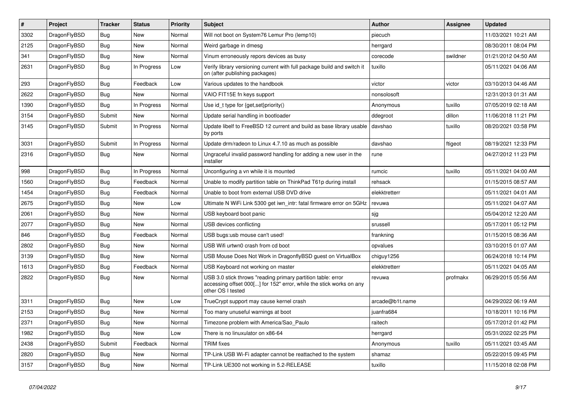| $\vert$ # | <b>Project</b> | <b>Tracker</b> | <b>Status</b> | <b>Priority</b> | <b>Subject</b>                                                                                                                                           | <b>Author</b>   | Assignee | <b>Updated</b>      |
|-----------|----------------|----------------|---------------|-----------------|----------------------------------------------------------------------------------------------------------------------------------------------------------|-----------------|----------|---------------------|
| 3302      | DragonFlyBSD   | Bug            | <b>New</b>    | Normal          | Will not boot on System76 Lemur Pro (lemp10)                                                                                                             | piecuch         |          | 11/03/2021 10:21 AM |
| 2125      | DragonFlyBSD   | <b>Bug</b>     | <b>New</b>    | Normal          | Weird garbage in dmesg                                                                                                                                   | herrgard        |          | 08/30/2011 08:04 PM |
| 341       | DragonFlyBSD   | <b>Bug</b>     | <b>New</b>    | Normal          | Vinum erroneously repors devices as busy                                                                                                                 | corecode        | swildner | 01/21/2012 04:50 AM |
| 2631      | DragonFlyBSD   | Bug            | In Progress   | Low             | Verify library versioning current with full package build and switch it<br>on (after publishing packages)                                                | tuxillo         |          | 05/11/2021 04:06 AM |
| 293       | DragonFlyBSD   | Bug            | Feedback      | Low             | Various updates to the handbook                                                                                                                          | victor          | victor   | 03/10/2013 04:46 AM |
| 2622      | DragonFlyBSD   | Bug            | <b>New</b>    | Normal          | VAIO FIT15E fn keys support                                                                                                                              | nonsolosoft     |          | 12/31/2013 01:31 AM |
| 1390      | DragonFlyBSD   | Bug            | In Progress   | Normal          | Use id t type for $\{get, set\}$ priority $()$                                                                                                           | Anonymous       | tuxillo  | 07/05/2019 02:18 AM |
| 3154      | DragonFlyBSD   | Submit         | New           | Normal          | Update serial handling in bootloader                                                                                                                     | ddegroot        | dillon   | 11/06/2018 11:21 PM |
| 3145      | DragonFlyBSD   | Submit         | In Progress   | Normal          | Update libelf to FreeBSD 12 current and build as base library usable<br>by ports                                                                         | davshao         | tuxillo  | 08/20/2021 03:58 PM |
| 3031      | DragonFlyBSD   | Submit         | In Progress   | Normal          | Update drm/radeon to Linux 4.7.10 as much as possible                                                                                                    | davshao         | ftigeot  | 08/19/2021 12:33 PM |
| 2316      | DragonFlyBSD   | <b>Bug</b>     | <b>New</b>    | Normal          | Ungraceful invalid password handling for adding a new user in the<br>installer                                                                           | rune            |          | 04/27/2012 11:23 PM |
| 998       | DragonFlyBSD   | Bug            | In Progress   | Normal          | Unconfiguring a vn while it is mounted                                                                                                                   | rumcic          | tuxillo  | 05/11/2021 04:00 AM |
| 1560      | DragonFlyBSD   | Bug            | Feedback      | Normal          | Unable to modify partition table on ThinkPad T61p during install                                                                                         | rehsack         |          | 01/15/2015 08:57 AM |
| 1454      | DragonFlyBSD   | <b>Bug</b>     | Feedback      | Normal          | Unable to boot from external USB DVD drive                                                                                                               | elekktretterr   |          | 05/11/2021 04:01 AM |
| 2675      | DragonFlyBSD   | <b>Bug</b>     | <b>New</b>    | Low             | Ultimate N WiFi Link 5300 get iwn intr: fatal firmware error on 5GHz                                                                                     | revuwa          |          | 05/11/2021 04:07 AM |
| 2061      | DragonFlyBSD   | <b>Bug</b>     | <b>New</b>    | Normal          | USB keyboard boot panic                                                                                                                                  | sjg             |          | 05/04/2012 12:20 AM |
| 2077      | DragonFlyBSD   | <b>Bug</b>     | <b>New</b>    | Normal          | USB devices conflicting                                                                                                                                  | srussell        |          | 05/17/2011 05:12 PM |
| 846       | DragonFlyBSD   | <b>Bug</b>     | Feedback      | Normal          | USB bugs:usb mouse can't used!                                                                                                                           | frankning       |          | 01/15/2015 08:36 AM |
| 2802      | DragonFlyBSD   | <b>Bug</b>     | <b>New</b>    | Normal          | USB Wifi urtwn0 crash from cd boot                                                                                                                       | opvalues        |          | 03/10/2015 01:07 AM |
| 3139      | DragonFlyBSD   | <b>Bug</b>     | <b>New</b>    | Normal          | USB Mouse Does Not Work in DragonflyBSD guest on VirtualBox                                                                                              | chiguy1256      |          | 06/24/2018 10:14 PM |
| 1613      | DragonFlyBSD   | <b>Bug</b>     | Feedback      | Normal          | USB Keyboard not working on master                                                                                                                       | elekktretterr   |          | 05/11/2021 04:05 AM |
| 2822      | DragonFlyBSD   | Bug            | <b>New</b>    | Normal          | USB 3.0 stick throws "reading primary partition table: error<br>accessing offset 000[] for 152" error, while the stick works on any<br>other OS I tested | revuwa          | profmakx | 06/29/2015 05:56 AM |
| 3311      | DragonFlyBSD   | <b>Bug</b>     | <b>New</b>    | Low             | TrueCrypt support may cause kernel crash                                                                                                                 | arcade@b1t.name |          | 04/29/2022 06:19 AM |
| 2153      | DragonFlyBSD   | <b>Bug</b>     | <b>New</b>    | Normal          | Too many unuseful warnings at boot                                                                                                                       | juanfra684      |          | 10/18/2011 10:16 PM |
| 2371      | DragonFlyBSD   | <b>Bug</b>     | New           | Normal          | Timezone problem with America/Sao Paulo                                                                                                                  | raitech         |          | 05/17/2012 01:42 PM |
| 1982      | DragonFlyBSD   | <b>Bug</b>     | <b>New</b>    | Low             | There is no linuxulator on x86-64                                                                                                                        | herrgard        |          | 05/31/2022 02:25 PM |
| 2438      | DragonFlyBSD   | Submit         | Feedback      | Normal          | TRIM fixes                                                                                                                                               | Anonymous       | tuxillo  | 05/11/2021 03:45 AM |
| 2820      | DragonFlyBSD   | Bug            | <b>New</b>    | Normal          | TP-Link USB Wi-Fi adapter cannot be reattached to the system                                                                                             | shamaz          |          | 05/22/2015 09:45 PM |
| 3157      | DragonFlyBSD   | Bug            | <b>New</b>    | Normal          | TP-Link UE300 not working in 5.2-RELEASE                                                                                                                 | tuxillo         |          | 11/15/2018 02:08 PM |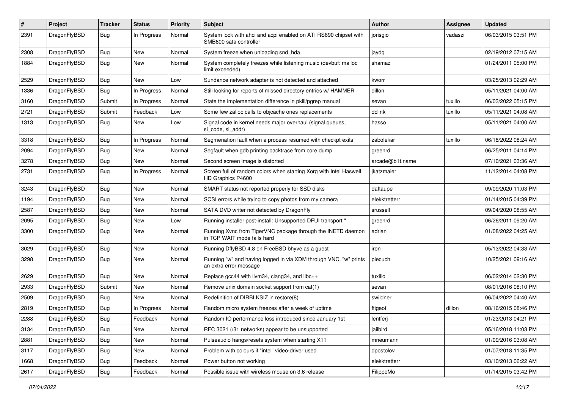| $\#$ | Project      | <b>Tracker</b> | <b>Status</b> | <b>Priority</b> | Subject                                                                                    | <b>Author</b>   | Assignee | <b>Updated</b>      |
|------|--------------|----------------|---------------|-----------------|--------------------------------------------------------------------------------------------|-----------------|----------|---------------------|
| 2391 | DragonFlyBSD | Bug            | In Progress   | Normal          | System lock with ahci and acpi enabled on ATI RS690 chipset with<br>SMB600 sata controller | jorisgio        | vadaszi  | 06/03/2015 03:51 PM |
| 2308 | DragonFlyBSD | Bug            | <b>New</b>    | Normal          | System freeze when unloading snd_hda                                                       | jaydg           |          | 02/19/2012 07:15 AM |
| 1884 | DragonFlyBSD | Bug            | New           | Normal          | System completely freezes while listening music (devbuf: malloc<br>limit exceeded)         | shamaz          |          | 01/24/2011 05:00 PM |
| 2529 | DragonFlyBSD | <b>Bug</b>     | <b>New</b>    | Low             | Sundance network adapter is not detected and attached                                      | kworr           |          | 03/25/2013 02:29 AM |
| 1336 | DragonFlyBSD | Bug            | In Progress   | Normal          | Still looking for reports of missed directory entries w/ HAMMER                            | dillon          |          | 05/11/2021 04:00 AM |
| 3160 | DragonFlyBSD | Submit         | In Progress   | Normal          | State the implementation difference in pkill/pgrep manual                                  | sevan           | tuxillo  | 06/03/2022 05:15 PM |
| 2721 | DragonFlyBSD | Submit         | Feedback      | Low             | Some few zalloc calls to objcache ones replacements                                        | dclink          | tuxillo  | 05/11/2021 04:08 AM |
| 1313 | DragonFlyBSD | <b>Bug</b>     | New           | Low             | Signal code in kernel needs major overhaul (signal queues,<br>si_code, si_addr)            | hasso           |          | 05/11/2021 04:00 AM |
| 3318 | DragonFlyBSD | Bug            | In Progress   | Normal          | Segmenation fault when a process resumed with checkpt exits                                | zabolekar       | tuxillo  | 06/18/2022 08:24 AM |
| 2094 | DragonFlyBSD | Bug            | <b>New</b>    | Normal          | Segfault when gdb printing backtrace from core dump                                        | greenrd         |          | 06/25/2011 04:14 PM |
| 3278 | DragonFlyBSD | Bug            | New           | Normal          | Second screen image is distorted                                                           | arcade@b1t.name |          | 07/10/2021 03:36 AM |
| 2731 | DragonFlyBSD | Bug            | In Progress   | Normal          | Screen full of random colors when starting Xorg with Intel Haswell<br>HD Graphics P4600    | jkatzmaier      |          | 11/12/2014 04:08 PM |
| 3243 | DragonFlyBSD | Bug            | <b>New</b>    | Normal          | SMART status not reported properly for SSD disks                                           | daftaupe        |          | 09/09/2020 11:03 PM |
| 1194 | DragonFlyBSD | <b>Bug</b>     | <b>New</b>    | Normal          | SCSI errors while trying to copy photos from my camera                                     | elekktretterr   |          | 01/14/2015 04:39 PM |
| 2587 | DragonFlyBSD | <b>Bug</b>     | New           | Normal          | SATA DVD writer not detected by DragonFly                                                  | srussell        |          | 09/04/2020 08:55 AM |
| 2095 | DragonFlyBSD | <b>Bug</b>     | New           | Low             | Running installer post-install: Unsupported DFUI transport "                               | greenrd         |          | 06/26/2011 09:20 AM |
| 3300 | DragonFlyBSD | Bug            | <b>New</b>    | Normal          | Running Xvnc from TigerVNC package through the INETD daemon<br>in TCP WAIT mode fails hard | adrian          |          | 01/08/2022 04:25 AM |
| 3029 | DragonFlyBSD | Bug            | <b>New</b>    | Normal          | Running DflyBSD 4.8 on FreeBSD bhyve as a guest                                            | iron            |          | 05/13/2022 04:33 AM |
| 3298 | DragonFlyBSD | <b>Bug</b>     | New           | Normal          | Running "w" and having logged in via XDM through VNC, "w" prints<br>an extra error message | piecuch         |          | 10/25/2021 09:16 AM |
| 2629 | DragonFlyBSD | Bug            | <b>New</b>    | Normal          | Replace gcc44 with llvm34, clang34, and libc++                                             | tuxillo         |          | 06/02/2014 02:30 PM |
| 2933 | DragonFlyBSD | Submit         | New           | Normal          | Remove unix domain socket support from cat(1)                                              | sevan           |          | 08/01/2016 08:10 PM |
| 2509 | DragonFlyBSD | <b>Bug</b>     | New           | Normal          | Redefinition of DIRBLKSIZ in restore(8)                                                    | swildner        |          | 06/04/2022 04:40 AM |
| 2819 | DragonFlyBSD | Bug            | In Progress   | Normal          | Random micro system freezes after a week of uptime                                         | ftigeot         | dillon   | 08/16/2015 08:46 PM |
| 2288 | DragonFlyBSD | Bug            | Feedback      | Normal          | Random IO performance loss introduced since January 1st                                    | lentferi        |          | 01/23/2013 04:21 PM |
| 3134 | DragonFlyBSD | Bug            | New           | Normal          | RFC 3021 (/31 networks) appear to be unsupported                                           | jailbird        |          | 05/16/2018 11:03 PM |
| 2881 | DragonFlyBSD | Bug            | New           | Normal          | Pulseaudio hangs/resets system when starting X11                                           | mneumann        |          | 01/09/2016 03:08 AM |
| 3117 | DragonFlyBSD | <b>Bug</b>     | New           | Normal          | Problem with colours if "intel" video-driver used                                          | dpostolov       |          | 01/07/2018 11:35 PM |
| 1668 | DragonFlyBSD | <b>Bug</b>     | Feedback      | Normal          | Power button not working                                                                   | elekktretterr   |          | 03/10/2013 06:22 AM |
| 2617 | DragonFlyBSD | <b>Bug</b>     | Feedback      | Normal          | Possible issue with wireless mouse on 3.6 release                                          | FilippoMo       |          | 01/14/2015 03:42 PM |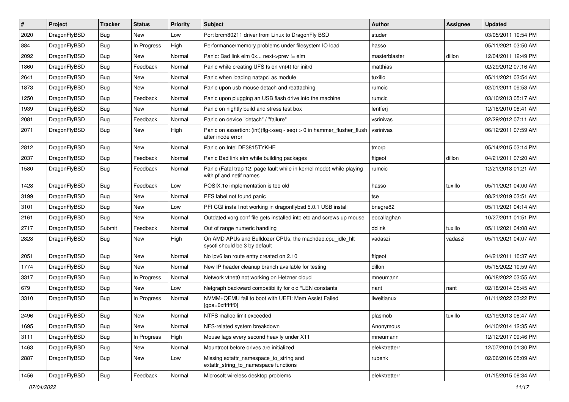| $\vert$ # | Project      | <b>Tracker</b> | <b>Status</b> | <b>Priority</b> | Subject                                                                                         | <b>Author</b> | Assignee | <b>Updated</b>      |
|-----------|--------------|----------------|---------------|-----------------|-------------------------------------------------------------------------------------------------|---------------|----------|---------------------|
| 2020      | DragonFlyBSD | <b>Bug</b>     | New           | Low             | Port brcm80211 driver from Linux to DragonFly BSD                                               | studer        |          | 03/05/2011 10:54 PM |
| 884       | DragonFlyBSD | <b>Bug</b>     | In Progress   | High            | Performance/memory problems under filesystem IO load                                            | hasso         |          | 05/11/2021 03:50 AM |
| 2092      | DragonFlyBSD | <b>Bug</b>     | New           | Normal          | Panic: Bad link elm 0x next->prev != elm                                                        | masterblaster | dillon   | 12/04/2011 12:49 PM |
| 1860      | DragonFlyBSD | <b>Bug</b>     | Feedback      | Normal          | Panic while creating UFS fs on vn(4) for initrd                                                 | matthias      |          | 02/29/2012 07:16 AM |
| 2641      | DragonFlyBSD | Bug            | New           | Normal          | Panic when loading natapci as module                                                            | tuxillo       |          | 05/11/2021 03:54 AM |
| 1873      | DragonFlyBSD | <b>Bug</b>     | New           | Normal          | Panic upon usb mouse detach and reattaching                                                     | rumcic        |          | 02/01/2011 09:53 AM |
| 1250      | DragonFlyBSD | <b>Bug</b>     | Feedback      | Normal          | Panic upon plugging an USB flash drive into the machine                                         | rumcic        |          | 03/10/2013 05:17 AM |
| 1939      | DragonFlyBSD | <b>Bug</b>     | New           | Normal          | Panic on nightly build and stress test box                                                      | lentferj      |          | 12/18/2010 08:41 AM |
| 2081      | DragonFlyBSD | <b>Bug</b>     | Feedback      | Normal          | Panic on device "detach" / "failure"                                                            | vsrinivas     |          | 02/29/2012 07:11 AM |
| 2071      | DragonFlyBSD | Bug            | New           | High            | Panic on assertion: (int)(flg->seq - seq) > 0 in hammer_flusher_flush<br>after inode error      | vsrinivas     |          | 06/12/2011 07:59 AM |
| 2812      | DragonFlyBSD | Bug            | <b>New</b>    | Normal          | Panic on Intel DE3815TYKHE                                                                      | tmorp         |          | 05/14/2015 03:14 PM |
| 2037      | DragonFlyBSD | Bug            | Feedback      | Normal          | Panic Bad link elm while building packages                                                      | ftigeot       | dillon   | 04/21/2011 07:20 AM |
| 1580      | DragonFlyBSD | Bug            | Feedback      | Normal          | Panic (Fatal trap 12: page fault while in kernel mode) while playing<br>with pf and netif names | rumcic        |          | 12/21/2018 01:21 AM |
| 1428      | DragonFlyBSD | Bug            | Feedback      | Low             | POSIX.1e implementation is too old                                                              | hasso         | tuxillo  | 05/11/2021 04:00 AM |
| 3199      | DragonFlyBSD | Bug            | New           | Normal          | PFS label not found panic                                                                       | tse           |          | 08/21/2019 03:51 AM |
| 3101      | DragonFlyBSD | Bug            | New           | Low             | PFI CGI install not working in dragonflybsd 5.0.1 USB install                                   | bnegre82      |          | 05/11/2021 04:14 AM |
| 2161      | DragonFlyBSD | Bug            | New           | Normal          | Outdated xorg.conf file gets installed into etc and screws up mouse                             | eocallaghan   |          | 10/27/2011 01:51 PM |
| 2717      | DragonFlyBSD | Submit         | Feedback      | Normal          | Out of range numeric handling                                                                   | dclink        | tuxillo  | 05/11/2021 04:08 AM |
| 2828      | DragonFlyBSD | Bug            | New           | High            | On AMD APUs and Bulldozer CPUs, the machdep.cpu_idle_hlt<br>sysctl should be 3 by default       | vadaszi       | vadaszi  | 05/11/2021 04:07 AM |
| 2051      | DragonFlyBSD | Bug            | <b>New</b>    | Normal          | No ipv6 lan route entry created on 2.10                                                         | ftigeot       |          | 04/21/2011 10:37 AM |
| 1774      | DragonFlyBSD | Bug            | New           | Normal          | New IP header cleanup branch available for testing                                              | dillon        |          | 05/15/2022 10:59 AM |
| 3317      | DragonFlyBSD | Bug            | In Progress   | Normal          | Network vtnet0 not working on Hetzner cloud                                                     | mneumann      |          | 06/18/2022 03:55 AM |
| 679       | DragonFlyBSD | Bug            | New           | Low             | Netgraph backward compatibility for old *LEN constants                                          | nant          | nant     | 02/18/2014 05:45 AM |
| 3310      | DragonFlyBSD | Bug            | In Progress   | Normal          | NVMM+QEMU fail to boot with UEFI: Mem Assist Failed<br>[gpa=0xfffffff0]                         | liweitianux   |          | 01/11/2022 03:22 PM |
| 2496      | DragonFlyBSD | Bug            | New           | Normal          | NTFS malloc limit exceeded                                                                      | plasmob       | tuxillo  | 02/19/2013 08:47 AM |
| 1695      | DragonFlyBSD | <b>Bug</b>     | New           | Normal          | NFS-related system breakdown                                                                    | Anonymous     |          | 04/10/2014 12:35 AM |
| 3111      | DragonFlyBSD | <b>Bug</b>     | In Progress   | High            | Mouse lags every second heavily under X11                                                       | mneumann      |          | 12/12/2017 09:46 PM |
| 1463      | DragonFlyBSD | <b>Bug</b>     | New           | Normal          | Mountroot before drives are initialized                                                         | elekktretterr |          | 12/07/2010 01:30 PM |
| 2887      | DragonFlyBSD | Bug            | New           | Low             | Missing extattr_namespace_to_string and<br>extattr_string_to_namespace functions                | rubenk        |          | 02/06/2016 05:09 AM |
| 1456      | DragonFlyBSD | Bug            | Feedback      | Normal          | Microsoft wireless desktop problems                                                             | elekktretterr |          | 01/15/2015 08:34 AM |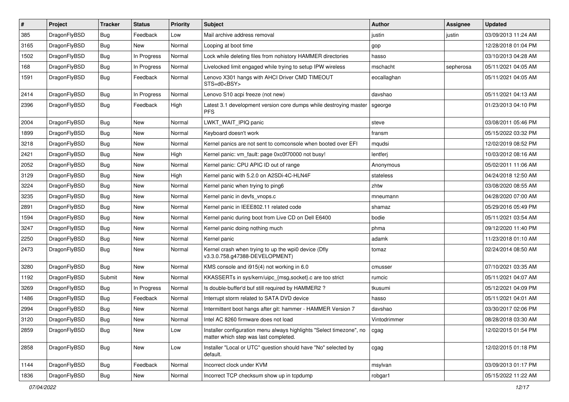| $\vert$ # | Project      | <b>Tracker</b> | <b>Status</b> | <b>Priority</b> | <b>Subject</b>                                                                                                | <b>Author</b> | <b>Assignee</b> | <b>Updated</b>      |
|-----------|--------------|----------------|---------------|-----------------|---------------------------------------------------------------------------------------------------------------|---------------|-----------------|---------------------|
| 385       | DragonFlyBSD | <b>Bug</b>     | Feedback      | Low             | Mail archive address removal                                                                                  | justin        | justin          | 03/09/2013 11:24 AM |
| 3165      | DragonFlyBSD | <b>Bug</b>     | New           | Normal          | Looping at boot time                                                                                          | gop           |                 | 12/28/2018 01:04 PM |
| 1502      | DragonFlyBSD | <b>Bug</b>     | In Progress   | Normal          | Lock while deleting files from nohistory HAMMER directories                                                   | hasso         |                 | 03/10/2013 04:28 AM |
| 168       | DragonFlyBSD | <b>Bug</b>     | In Progress   | Normal          | Livelocked limit engaged while trying to setup IPW wireless                                                   | mschacht      | sepherosa       | 05/11/2021 04:05 AM |
| 1591      | DragonFlyBSD | Bug            | Feedback      | Normal          | Lenovo X301 hangs with AHCI Driver CMD TIMEOUT<br>STS=d0 <bsy></bsy>                                          | eocallaghan   |                 | 05/11/2021 04:05 AM |
| 2414      | DragonFlyBSD | Bug            | In Progress   | Normal          | Lenovo S10 acpi freeze (not new)                                                                              | davshao       |                 | 05/11/2021 04:13 AM |
| 2396      | DragonFlyBSD | Bug            | Feedback      | High            | Latest 3.1 development version core dumps while destroying master<br><b>PFS</b>                               | sgeorge       |                 | 01/23/2013 04:10 PM |
| 2004      | DragonFlyBSD | <b>Bug</b>     | <b>New</b>    | Normal          | LWKT_WAIT_IPIQ panic                                                                                          | steve         |                 | 03/08/2011 05:46 PM |
| 1899      | DragonFlyBSD | <b>Bug</b>     | <b>New</b>    | Normal          | Keyboard doesn't work                                                                                         | fransm        |                 | 05/15/2022 03:32 PM |
| 3218      | DragonFlyBSD | Bug            | New           | Normal          | Kernel panics are not sent to comconsole when booted over EFI                                                 | mqudsi        |                 | 12/02/2019 08:52 PM |
| 2421      | DragonFlyBSD | <b>Bug</b>     | <b>New</b>    | High            | Kernel panic: vm_fault: page 0xc0f70000 not busy!                                                             | lentferj      |                 | 10/03/2012 08:16 AM |
| 2052      | DragonFlyBSD | <b>Bug</b>     | <b>New</b>    | Normal          | Kernel panic: CPU APIC ID out of range                                                                        | Anonymous     |                 | 05/02/2011 11:06 AM |
| 3129      | DragonFlyBSD | Bug            | <b>New</b>    | High            | Kernel panic with 5.2.0 on A2SDi-4C-HLN4F                                                                     | stateless     |                 | 04/24/2018 12:50 AM |
| 3224      | DragonFlyBSD | <b>Bug</b>     | <b>New</b>    | Normal          | Kernel panic when trying to ping6                                                                             | zhtw          |                 | 03/08/2020 08:55 AM |
| 3235      | DragonFlyBSD | Bug            | <b>New</b>    | Normal          | Kernel panic in devfs_vnops.c                                                                                 | mneumann      |                 | 04/28/2020 07:00 AM |
| 2891      | DragonFlyBSD | Bug            | <b>New</b>    | Normal          | Kernel panic in IEEE802.11 related code                                                                       | shamaz        |                 | 05/29/2016 05:49 PM |
| 1594      | DragonFlyBSD | <b>Bug</b>     | New           | Normal          | Kernel panic during boot from Live CD on Dell E6400                                                           | bodie         |                 | 05/11/2021 03:54 AM |
| 3247      | DragonFlyBSD | Bug            | <b>New</b>    | Normal          | Kernel panic doing nothing much                                                                               | phma          |                 | 09/12/2020 11:40 PM |
| 2250      | DragonFlyBSD | <b>Bug</b>     | <b>New</b>    | Normal          | Kernel panic                                                                                                  | adamk         |                 | 11/23/2018 01:10 AM |
| 2473      | DragonFlyBSD | Bug            | <b>New</b>    | Normal          | Kernel crash when trying to up the wpi0 device (Dfly<br>v3.3.0.758.g47388-DEVELOPMENT)                        | tomaz         |                 | 02/24/2014 08:50 AM |
| 3280      | DragonFlyBSD | <b>Bug</b>     | <b>New</b>    | Normal          | KMS console and i915(4) not working in 6.0                                                                    | cmusser       |                 | 07/10/2021 03:35 AM |
| 1192      | DragonFlyBSD | Submit         | New           | Normal          | KKASSERTs in sys/kern/uipc_{msg,socket}.c are too strict                                                      | rumcic        |                 | 05/11/2021 04:07 AM |
| 3269      | DragonFlyBSD | <b>Bug</b>     | In Progress   | Normal          | Is double-buffer'd buf still required by HAMMER2 ?                                                            | tkusumi       |                 | 05/12/2021 04:09 PM |
| 1486      | DragonFlyBSD | <b>Bug</b>     | Feedback      | Normal          | Interrupt storm related to SATA DVD device                                                                    | hasso         |                 | 05/11/2021 04:01 AM |
| 2994      | DragonFlyBSD | Bug            | <b>New</b>    | Normal          | Intermittent boot hangs after git: hammer - HAMMER Version 7                                                  | davshao       |                 | 03/30/2017 02:06 PM |
| 3120      | DragonFlyBSD | Bug            | New           | Normal          | Intel AC 8260 firmware does not load                                                                          | Vintodrimmer  |                 | 08/28/2018 03:30 AM |
| 2859      | DragonFlyBSD | Bug            | <b>New</b>    | Low             | Installer configuration menu always highlights "Select timezone", no<br>matter which step was last completed. | cgag          |                 | 12/02/2015 01:54 PM |
| 2858      | DragonFlyBSD | Bug            | New           | Low             | Installer "Local or UTC" question should have "No" selected by<br>default.                                    | cgag          |                 | 12/02/2015 01:18 PM |
| 1144      | DragonFlyBSD | <b>Bug</b>     | Feedback      | Normal          | Incorrect clock under KVM                                                                                     | msylvan       |                 | 03/09/2013 01:17 PM |
| 1836      | DragonFlyBSD | Bug            | New           | Normal          | Incorrect TCP checksum show up in tcpdump                                                                     | robgar1       |                 | 05/15/2022 11:22 AM |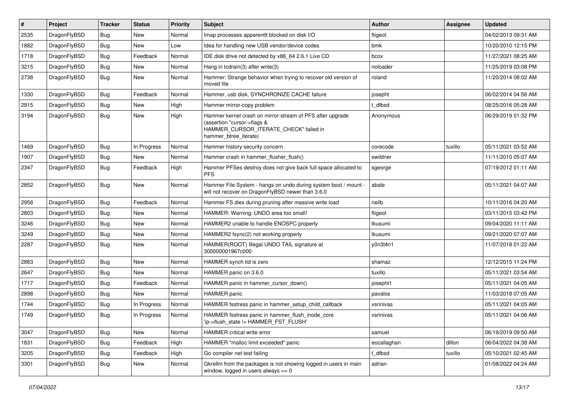| $\#$ | Project      | <b>Tracker</b> | <b>Status</b> | <b>Priority</b> | Subject                                                                                                                                                     | <b>Author</b> | Assignee | <b>Updated</b>      |
|------|--------------|----------------|---------------|-----------------|-------------------------------------------------------------------------------------------------------------------------------------------------------------|---------------|----------|---------------------|
| 2535 | DragonFlyBSD | <b>Bug</b>     | <b>New</b>    | Normal          | Imap processes apparentlt blocked on disk I/O                                                                                                               | ftigeot       |          | 04/02/2013 09:31 AM |
| 1882 | DragonFlyBSD | <b>Bug</b>     | New           | Low             | Idea for handling new USB vendor/device codes                                                                                                               | bmk           |          | 10/20/2010 12:15 PM |
| 1718 | DragonFlyBSD | Bug            | Feedback      | Normal          | IDE disk drive not detected by x86 64 2.6.1 Live CD                                                                                                         | bcox          |          | 11/27/2021 08:25 AM |
| 3215 | DragonFlyBSD | Bug            | New           | Normal          | Hang in todrain(3) after write(3)                                                                                                                           | noloader      |          | 11/25/2019 03:08 PM |
| 2738 | DragonFlyBSD | <b>Bug</b>     | New           | Normal          | Hammer: Strange behavior when trying to recover old version of<br>moved file                                                                                | roland        |          | 11/20/2014 08:02 AM |
| 1330 | DragonFlyBSD | <b>Bug</b>     | Feedback      | Normal          | Hammer, usb disk, SYNCHRONIZE CACHE failure                                                                                                                 | josepht       |          | 06/02/2014 04:56 AM |
| 2915 | DragonFlyBSD | Bug            | New           | High            | Hammer mirror-copy problem                                                                                                                                  | t dfbsd       |          | 08/25/2016 05:28 AM |
| 3194 | DragonFlyBSD | <b>Bug</b>     | New           | High            | Hammer kernel crash on mirror-stream of PFS after upgrade<br>(assertion "cursor->flags &<br>HAMMER_CURSOR_ITERATE_CHECK" failed in<br>hammer_btree_iterate) | Anonymous     |          | 06/29/2019 01:32 PM |
| 1469 | DragonFlyBSD | <b>Bug</b>     | In Progress   | Normal          | Hammer history security concern                                                                                                                             | corecode      | tuxillo  | 05/11/2021 03:52 AM |
| 1907 | DragonFlyBSD | <b>Bug</b>     | New           | Normal          | Hammer crash in hammer flusher flush()                                                                                                                      | swildner      |          | 11/11/2010 05:07 AM |
| 2347 | DragonFlyBSD | <b>Bug</b>     | Feedback      | High            | Hammer PFSes destroy does not give back full space allocated to<br><b>PFS</b>                                                                               | sgeorge       |          | 07/19/2012 01:11 AM |
| 2852 | DragonFlyBSD | <b>Bug</b>     | <b>New</b>    | Normal          | Hammer File System - hangs on undo during system boot / mount -<br>will not recover on DragonFlyBSD newer than 3.6.0                                        | abale         |          | 05/11/2021 04:07 AM |
| 2958 | DragonFlyBSD | <b>Bug</b>     | Feedback      | Normal          | Hammer FS dies during pruning after massive write load                                                                                                      | neilb         |          | 10/11/2016 04:20 AM |
| 2803 | DragonFlyBSD | Bug            | New           | Normal          | HAMMER: Warning: UNDO area too small!                                                                                                                       | ftigeot       |          | 03/11/2015 03:42 PM |
| 3246 | DragonFlyBSD | <b>Bug</b>     | <b>New</b>    | Normal          | HAMMER2 unable to handle ENOSPC properly                                                                                                                    | tkusumi       |          | 09/04/2020 11:11 AM |
| 3249 | DragonFlyBSD | <b>Bug</b>     | New           | Normal          | HAMMER2 fsync(2) not working properly                                                                                                                       | tkusumi       |          | 09/21/2020 07:07 AM |
| 2287 | DragonFlyBSD | <b>Bug</b>     | New           | Normal          | HAMMER(ROOT) Illegal UNDO TAIL signature at<br>300000001967c000                                                                                             | y0n3t4n1      |          | 11/07/2018 01:22 AM |
| 2863 | DragonFlyBSD | <b>Bug</b>     | New           | Normal          | HAMMER synch tid is zero                                                                                                                                    | shamaz        |          | 12/12/2015 11:24 PM |
| 2647 | DragonFlyBSD | <b>Bug</b>     | New           | Normal          | HAMMER panic on 3.6.0                                                                                                                                       | tuxillo       |          | 05/11/2021 03:54 AM |
| 1717 | DragonFlyBSD | Bug            | Feedback      | Normal          | HAMMER panic in hammer cursor down()                                                                                                                        | josepht1      |          | 05/11/2021 04:05 AM |
| 2898 | DragonFlyBSD | Bug            | New           | Normal          | <b>HAMMER</b> panic                                                                                                                                         | pavalos       |          | 11/03/2018 07:05 AM |
| 1744 | DragonFlyBSD | <b>Bug</b>     | In Progress   | Normal          | HAMMER fsstress panic in hammer setup child callback                                                                                                        | vsrinivas     |          | 05/11/2021 04:05 AM |
| 1749 | DragonFlyBSD | <b>Bug</b>     | In Progress   | Normal          | HAMMER fsstress panic in hammer flush inode core<br>'ip->flush_state != HAMMER_FST_FLUSH'                                                                   | vsrinivas     |          | 05/11/2021 04:06 AM |
| 3047 | DragonFlyBSD | Bug            | New           | Normal          | HAMMER critical write error                                                                                                                                 | samuel        |          | 06/19/2019 09:50 AM |
| 1831 | DragonFlyBSD | <b>Bug</b>     | Feedback      | High            | HAMMER "malloc limit exceeded" panic                                                                                                                        | eocallaghan   | dillon   | 06/04/2022 04:38 AM |
| 3205 | DragonFlyBSD | Bug            | Feedback      | High            | Go compiler net test failing                                                                                                                                | t_dfbsd       | tuxillo  | 05/10/2021 02:45 AM |
| 3301 | DragonFlyBSD | <b>Bug</b>     | New           | Normal          | Gkrellm from the packages is not showing logged in users in main<br>window, logged in users always $== 0$                                                   | adrian        |          | 01/08/2022 04:24 AM |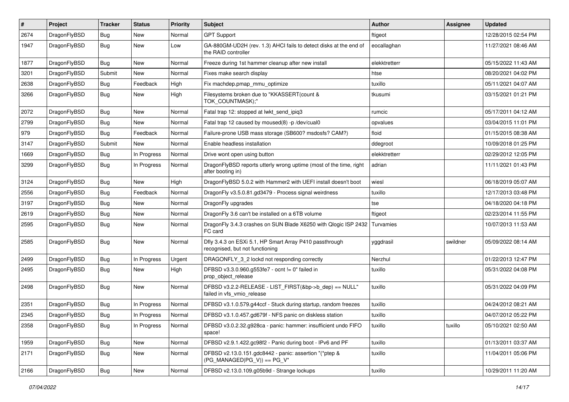| $\sharp$ | Project      | <b>Tracker</b> | <b>Status</b> | <b>Priority</b> | Subject                                                                                    | <b>Author</b> | Assignee | <b>Updated</b>      |
|----------|--------------|----------------|---------------|-----------------|--------------------------------------------------------------------------------------------|---------------|----------|---------------------|
| 2674     | DragonFlyBSD | <b>Bug</b>     | <b>New</b>    | Normal          | <b>GPT Support</b>                                                                         | ftigeot       |          | 12/28/2015 02:54 PM |
| 1947     | DragonFlyBSD | <b>Bug</b>     | New           | Low             | GA-880GM-UD2H (rev. 1.3) AHCI fails to detect disks at the end of<br>the RAID controller   | eocallaghan   |          | 11/27/2021 08:46 AM |
| 1877     | DragonFlyBSD | Bug            | <b>New</b>    | Normal          | Freeze during 1st hammer cleanup after new install                                         | elekktretterr |          | 05/15/2022 11:43 AM |
| 3201     | DragonFlyBSD | Submit         | New           | Normal          | Fixes make search display                                                                  | htse          |          | 08/20/2021 04:02 PM |
| 2638     | DragonFlyBSD | <b>Bug</b>     | Feedback      | High            | Fix machdep.pmap_mmu_optimize                                                              | tuxillo       |          | 05/11/2021 04:07 AM |
| 3266     | DragonFlyBSD | Bug            | New           | High            | Filesystems broken due to "KKASSERT(count &<br>TOK COUNTMASK);"                            | tkusumi       |          | 03/15/2021 01:21 PM |
| 2072     | DragonFlyBSD | Bug            | <b>New</b>    | Normal          | Fatal trap 12: stopped at lwkt_send_ipiq3                                                  | rumcic        |          | 05/17/2011 04:12 AM |
| 2799     | DragonFlyBSD | Bug            | <b>New</b>    | Normal          | Fatal trap 12 caused by moused(8) -p /dev/cual0                                            | opvalues      |          | 03/04/2015 11:01 PM |
| 979      | DragonFlyBSD | <b>Bug</b>     | Feedback      | Normal          | Failure-prone USB mass storage (SB600? msdosfs? CAM?)                                      | floid         |          | 01/15/2015 08:38 AM |
| 3147     | DragonFlyBSD | Submit         | <b>New</b>    | Normal          | Enable headless installation                                                               | ddegroot      |          | 10/09/2018 01:25 PM |
| 1669     | DragonFlyBSD | <b>Bug</b>     | In Progress   | Normal          | Drive wont open using button                                                               | elekktretterr |          | 02/29/2012 12:05 PM |
| 3299     | DragonFlyBSD | <b>Bug</b>     | In Progress   | Normal          | DragonFlyBSD reports utterly wrong uptime (most of the time, right<br>after booting in)    | adrian        |          | 11/11/2021 01:43 PM |
| 3124     | DragonFlyBSD | Bug            | <b>New</b>    | High            | DragonFlyBSD 5.0.2 with Hammer2 with UEFI install doesn't boot                             | wiesl         |          | 06/18/2019 05:07 AM |
| 2556     | DragonFlyBSD | <b>Bug</b>     | Feedback      | Normal          | DragonFly v3.5.0.81.gd3479 - Process signal weirdness                                      | tuxillo       |          | 12/17/2013 03:48 PM |
| 3197     | DragonFlyBSD | Bug            | New           | Normal          | DragonFly upgrades                                                                         | tse           |          | 04/18/2020 04:18 PM |
| 2619     | DragonFlyBSD | <b>Bug</b>     | New           | Normal          | DragonFly 3.6 can't be installed on a 6TB volume                                           | ftigeot       |          | 02/23/2014 11:55 PM |
| 2595     | DragonFlyBSD | <b>Bug</b>     | <b>New</b>    | Normal          | DragonFly 3.4.3 crashes on SUN Blade X6250 with Qlogic ISP 2432<br>FC card                 | Turvamies     |          | 10/07/2013 11:53 AM |
| 2585     | DragonFlyBSD | Bug            | New           | Normal          | Dfly 3.4.3 on ESXi 5.1, HP Smart Array P410 passthrough<br>recognised, but not functioning | yggdrasil     | swildner | 05/09/2022 08:14 AM |
| 2499     | DragonFlyBSD | Bug            | In Progress   | Urgent          | DRAGONFLY_3_2 lockd not responding correctly                                               | Nerzhul       |          | 01/22/2013 12:47 PM |
| 2495     | DragonFlyBSD | <b>Bug</b>     | New           | High            | DFBSD v3.3.0.960.g553fe7 - ocnt != 0" failed in<br>prop_object_release                     | tuxillo       |          | 05/31/2022 04:08 PM |
| 2498     | DragonFlyBSD | Bug            | New           | Normal          | DFBSD v3.2.2-RELEASE - LIST_FIRST(&bp->b_dep) == NULL"<br>failed in vfs_vmio_release       | tuxillo       |          | 05/31/2022 04:09 PM |
| 2351     | DragonFlyBSD | Bug            | In Progress   | Normal          | DFBSD v3.1.0.579.g44ccf - Stuck during startup, random freezes                             | tuxillo       |          | 04/24/2012 08:21 AM |
| 2345     | DragonFlyBSD | Bug            | In Progress   | Normal          | DFBSD v3.1.0.457.gd679f - NFS panic on diskless station                                    | tuxillo       |          | 04/07/2012 05:22 PM |
| 2358     | DragonFlyBSD | Bug            | In Progress   | Normal          | DFBSD v3.0.2.32.g928ca - panic: hammer: insufficient undo FIFO<br>space!                   | tuxillo       | tuxillo  | 05/10/2021 02:50 AM |
| 1959     | DragonFlyBSD | <b>Bug</b>     | New           | Normal          | DFBSD v2.9.1.422.gc98f2 - Panic during boot - IPv6 and PF                                  | tuxillo       |          | 01/13/2011 03:37 AM |
| 2171     | DragonFlyBSD | <b>Bug</b>     | New           | Normal          | DFBSD v2.13.0.151.gdc8442 - panic: assertion "(*ptep &<br>$(PG MANAGED PG V)) == PG V"$    | tuxillo       |          | 11/04/2011 05:06 PM |
| 2166     | DragonFlyBSD | <b>Bug</b>     | New           | Normal          | DFBSD v2.13.0.109.g05b9d - Strange lockups                                                 | tuxillo       |          | 10/29/2011 11:20 AM |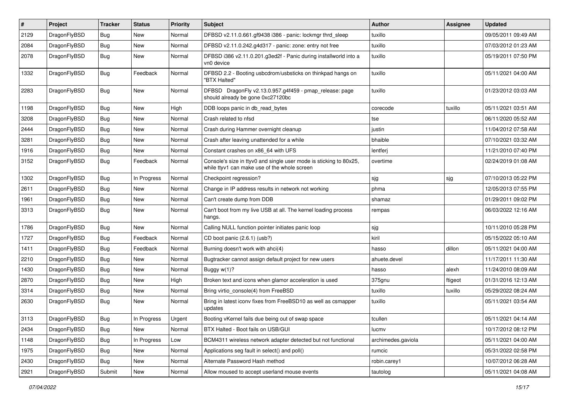| $\sharp$ | Project      | <b>Tracker</b> | <b>Status</b> | <b>Priority</b> | Subject                                                                                                            | <b>Author</b>      | Assignee | <b>Updated</b>      |
|----------|--------------|----------------|---------------|-----------------|--------------------------------------------------------------------------------------------------------------------|--------------------|----------|---------------------|
| 2129     | DragonFlyBSD | <b>Bug</b>     | <b>New</b>    | Normal          | DFBSD v2.11.0.661.gf9438 i386 - panic: lockmgr thrd_sleep                                                          | tuxillo            |          | 09/05/2011 09:49 AM |
| 2084     | DragonFlyBSD | Bug            | New           | Normal          | DFBSD v2.11.0.242.g4d317 - panic: zone: entry not free                                                             | tuxillo            |          | 07/03/2012 01:23 AM |
| 2078     | DragonFlyBSD | <b>Bug</b>     | New           | Normal          | DFBSD i386 v2.11.0.201.g3ed2f - Panic during installworld into a<br>vn0 device                                     | tuxillo            |          | 05/19/2011 07:50 PM |
| 1332     | DragonFlyBSD | <b>Bug</b>     | Feedback      | Normal          | DFBSD 2.2 - Booting usbcdrom/usbsticks on thinkpad hangs on<br>"BTX Halted"                                        | tuxillo            |          | 05/11/2021 04:00 AM |
| 2283     | DragonFlyBSD | Bug            | New           | Normal          | DFBSD DragonFly v2.13.0.957.g4f459 - pmap_release: page<br>should already be gone 0xc27120bc                       | tuxillo            |          | 01/23/2012 03:03 AM |
| 1198     | DragonFlyBSD | Bug            | <b>New</b>    | High            | DDB loops panic in db_read_bytes                                                                                   | corecode           | tuxillo  | 05/11/2021 03:51 AM |
| 3208     | DragonFlyBSD | Bug            | New           | Normal          | Crash related to nfsd                                                                                              | tse                |          | 06/11/2020 05:52 AM |
| 2444     | DragonFlyBSD | <b>Bug</b>     | New           | Normal          | Crash during Hammer overnight cleanup                                                                              | justin             |          | 11/04/2012 07:58 AM |
| 3281     | DragonFlyBSD | <b>Bug</b>     | New           | Normal          | Crash after leaving unattended for a while                                                                         | bhaible            |          | 07/10/2021 03:32 AM |
| 1916     | DragonFlyBSD | Bug            | New           | Normal          | Constant crashes on x86_64 with UFS                                                                                | lentferj           |          | 11/21/2010 07:40 PM |
| 3152     | DragonFlyBSD | <b>Bug</b>     | Feedback      | Normal          | Console's size in ttyv0 and single user mode is sticking to 80x25,<br>while ttyv1 can make use of the whole screen | overtime           |          | 02/24/2019 01:08 AM |
| 1302     | DragonFlyBSD | <b>Bug</b>     | In Progress   | Normal          | Checkpoint regression?                                                                                             | sjg                | sjg      | 07/10/2013 05:22 PM |
| 2611     | DragonFlyBSD | <b>Bug</b>     | New           | Normal          | Change in IP address results in network not working                                                                | phma               |          | 12/05/2013 07:55 PM |
| 1961     | DragonFlyBSD | Bug            | New           | Normal          | Can't create dump from DDB                                                                                         | shamaz             |          | 01/29/2011 09:02 PM |
| 3313     | DragonFlyBSD | Bug            | New           | Normal          | Can't boot from my live USB at all. The kernel loading process<br>hangs.                                           | rempas             |          | 06/03/2022 12:16 AM |
| 1786     | DragonFlyBSD | Bug            | New           | Normal          | Calling NULL function pointer initiates panic loop                                                                 | sjg                |          | 10/11/2010 05:28 PM |
| 1727     | DragonFlyBSD | Bug            | Feedback      | Normal          | CD boot panic (2.6.1) (usb?)                                                                                       | kiril              |          | 05/15/2022 05:10 AM |
| 1411     | DragonFlyBSD | Bug            | Feedback      | Normal          | Burning doesn't work with ahci(4)                                                                                  | hasso              | dillon   | 05/11/2021 04:00 AM |
| 2210     | DragonFlyBSD | Bug            | New           | Normal          | Bugtracker cannot assign default project for new users                                                             | ahuete.devel       |          | 11/17/2011 11:30 AM |
| 1430     | DragonFlyBSD | Bug            | New           | Normal          | Buggy w(1)?                                                                                                        | hasso              | alexh    | 11/24/2010 08:09 AM |
| 2870     | DragonFlyBSD | Bug            | New           | High            | Broken text and icons when glamor acceleration is used                                                             | 375gnu             | ftigeot  | 01/31/2016 12:13 AM |
| 3314     | DragonFlyBSD | Bug            | New           | Normal          | Bring virtio_console(4) from FreeBSD                                                                               | tuxillo            | tuxillo  | 05/29/2022 08:24 AM |
| 2630     | DragonFlyBSD | Bug            | <b>New</b>    | Normal          | Bring in latest iconv fixes from FreeBSD10 as well as csmapper<br>updates                                          | tuxillo            |          | 05/11/2021 03:54 AM |
| 3113     | DragonFlyBSD | Bug            | In Progress   | Urgent          | Booting vKernel fails due being out of swap space                                                                  | tcullen            |          | 05/11/2021 04:14 AM |
| 2434     | DragonFlyBSD | <b>Bug</b>     | New           | Normal          | BTX Halted - Boot fails on USB/GUI                                                                                 | lucmv              |          | 10/17/2012 08:12 PM |
| 1148     | DragonFlyBSD | <b>Bug</b>     | In Progress   | Low             | BCM4311 wireless network adapter detected but not functional                                                       | archimedes.gaviola |          | 05/11/2021 04:00 AM |
| 1975     | DragonFlyBSD | <b>Bug</b>     | <b>New</b>    | Normal          | Applications seg fault in select() and poll()                                                                      | rumcic             |          | 05/31/2022 02:58 PM |
| 2430     | DragonFlyBSD | Bug            | New           | Normal          | Alternate Password Hash method                                                                                     | robin.carey1       |          | 10/07/2012 06:28 AM |
| 2921     | DragonFlyBSD | Submit         | New           | Normal          | Allow moused to accept userland mouse events                                                                       | tautolog           |          | 05/11/2021 04:08 AM |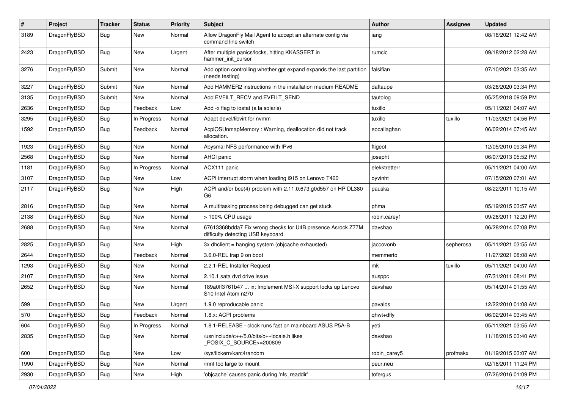| $\sharp$ | Project      | <b>Tracker</b> | <b>Status</b> | <b>Priority</b> | Subject                                                                                          | <b>Author</b> | Assignee  | <b>Updated</b>      |
|----------|--------------|----------------|---------------|-----------------|--------------------------------------------------------------------------------------------------|---------------|-----------|---------------------|
| 3189     | DragonFlyBSD | Bug            | <b>New</b>    | Normal          | Allow DragonFly Mail Agent to accept an alternate config via<br>command line switch              | iang          |           | 08/16/2021 12:42 AM |
| 2423     | DragonFlyBSD | Bug            | <b>New</b>    | Urgent          | After multiple panics/locks, hitting KKASSERT in<br>hammer_init_cursor                           | rumcic        |           | 09/18/2012 02:28 AM |
| 3276     | DragonFlyBSD | Submit         | <b>New</b>    | Normal          | Add option controlling whether gpt expand expands the last partition<br>(needs testing)          | falsifian     |           | 07/10/2021 03:35 AM |
| 3227     | DragonFlyBSD | Submit         | <b>New</b>    | Normal          | Add HAMMER2 instructions in the installation medium README                                       | daftaupe      |           | 03/26/2020 03:34 PM |
| 3135     | DragonFlyBSD | Submit         | New           | Normal          | Add EVFILT_RECV and EVFILT_SEND                                                                  | tautolog      |           | 05/25/2018 09:59 PM |
| 2636     | DragonFlyBSD | <b>Bug</b>     | Feedback      | Low             | Add -x flag to iostat (a la solaris)                                                             | tuxillo       |           | 05/11/2021 04:07 AM |
| 3295     | DragonFlyBSD | Bug            | In Progress   | Normal          | Adapt devel/libvirt for nvmm                                                                     | tuxillo       | tuxillo   | 11/03/2021 04:56 PM |
| 1592     | DragonFlyBSD | <b>Bug</b>     | Feedback      | Normal          | AcpiOSUnmapMemory: Warning, deallocation did not track<br>allocation.                            | eocallaghan   |           | 06/02/2014 07:45 AM |
| 1923     | DragonFlyBSD | Bug            | <b>New</b>    | Normal          | Abysmal NFS performance with IPv6                                                                | ftigeot       |           | 12/05/2010 09:34 PM |
| 2568     | DragonFlyBSD | <b>Bug</b>     | New           | Normal          | <b>AHCI</b> panic                                                                                | josepht       |           | 06/07/2013 05:52 PM |
| 1181     | DragonFlyBSD | Bug            | In Progress   | Normal          | ACX111 panic                                                                                     | elekktretterr |           | 05/11/2021 04:00 AM |
| 3107     | DragonFlyBSD | <b>Bug</b>     | New           | Low             | ACPI interrupt storm when loading i915 on Lenovo T460                                            | oyvinht       |           | 07/15/2020 07:01 AM |
| 2117     | DragonFlyBSD | <b>Bug</b>     | <b>New</b>    | High            | ACPI and/or bce(4) problem with 2.11.0.673.g0d557 on HP DL380<br>G <sub>6</sub>                  | pauska        |           | 08/22/2011 10:15 AM |
| 2816     | DragonFlyBSD | Bug            | <b>New</b>    | Normal          | A multitasking process being debugged can get stuck                                              | phma          |           | 05/19/2015 03:57 AM |
| 2138     | DragonFlyBSD | <b>Bug</b>     | <b>New</b>    | Normal          | > 100% CPU usage                                                                                 | robin.carey1  |           | 09/26/2011 12:20 PM |
| 2688     | DragonFlyBSD | <b>Bug</b>     | <b>New</b>    | Normal          | 67613368bdda7 Fix wrong checks for U4B presence Asrock Z77M<br>difficulty detecting USB keyboard | davshao       |           | 06/28/2014 07:08 PM |
| 2825     | DragonFlyBSD | <b>Bug</b>     | <b>New</b>    | High            | 3x dhclient = hanging system (objcache exhausted)                                                | jaccovonb     | sepherosa | 05/11/2021 03:55 AM |
| 2644     | DragonFlyBSD | <b>Bug</b>     | Feedback      | Normal          | 3.6.0-REL trap 9 on boot                                                                         | memmerto      |           | 11/27/2021 08:08 AM |
| 1293     | DragonFlyBSD | <b>Bug</b>     | <b>New</b>    | Normal          | 2.2.1-REL Installer Request                                                                      | mk            | tuxillo   | 05/11/2021 04:00 AM |
| 2107     | DragonFlyBSD | <b>Bug</b>     | <b>New</b>    | Normal          | 2.10.1 sata dvd drive issue                                                                      | ausppc        |           | 07/31/2011 08:41 PM |
| 2652     | DragonFlyBSD | <b>Bug</b>     | <b>New</b>    | Normal          | 189a0ff3761b47  ix: Implement MSI-X support locks up Lenovo<br>S10 Intel Atom n270               | davshao       |           | 05/14/2014 01:55 AM |
| 599      | DragonFlyBSD | <b>Bug</b>     | <b>New</b>    | Urgent          | 1.9.0 reproducable panic                                                                         | pavalos       |           | 12/22/2010 01:08 AM |
| 570      | DragonFlyBSD | Bug            | Feedback      | Normal          | 1.8.x: ACPI problems                                                                             | qhwt+dfly     |           | 06/02/2014 03:45 AM |
| 604      | DragonFlyBSD | Bug            | In Progress   | Normal          | 1.8.1-RELEASE - clock runs fast on mainboard ASUS P5A-B                                          | yeti          |           | 05/11/2021 03:55 AM |
| 2835     | DragonFlyBSD | Bug            | New           | Normal          | /usr/include/c++/5.0/bits/c++locale.h likes<br>POSIX_C_SOURCE>=200809                            | davshao       |           | 11/18/2015 03:40 AM |
| 600      | DragonFlyBSD | <b>Bug</b>     | New           | Low             | /sys/libkern/karc4random                                                                         | robin carey5  | profmakx  | 01/19/2015 03:07 AM |
| 1990     | DragonFlyBSD | Bug            | New           | Normal          | /mnt too large to mount                                                                          | peur.neu      |           | 02/16/2011 11:24 PM |
| 2930     | DragonFlyBSD | <b>Bug</b>     | New           | High            | 'objcache' causes panic during 'nfs_readdir'                                                     | tofergus      |           | 07/26/2016 01:09 PM |